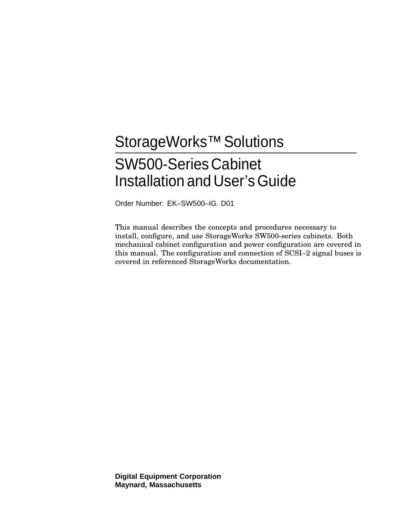# StorageWorks<sup>™</sup> Solutions SW500-Series Cabinet Installation and User's Guide

Order Number: EK–SW500–IG. D01

This manual describes the concepts and procedures necessary to install, configure, and use StorageWorks SW500-series cabinets. Both mechanical cabinet configuration and power configuration are covered in this manual. The configuration and connection of SCSI–2 signal buses is covered in referenced StorageWorks documentation.

**Digital Equipment Corporation Maynard, Massachusetts**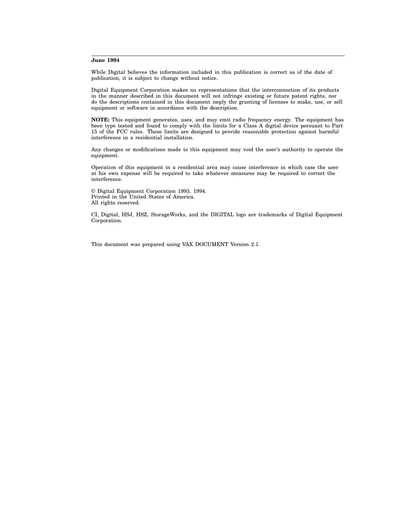#### **June 1994**

While Digital believes the information included in this publication is correct as of the date of publication, it is subject to change without notice.

Digital Equipment Corporation makes no representations that the interconnection of its products in the manner described in this document will not infringe existing or future patent rights, nor do the descriptions contained in this document imply the granting of licenses to make, use, or sell equipment or software in accordance with the description.

**NOTE:** This equipment generates, uses, and may emit radio frequency energy. The equipment has been type tested and found to comply with the limits for a Class A digital device persuant to Part 15 of the FCC rules. These limits are designed to provide reasonable protection against harmful interference in a residential installation.

Any changes or modifications made to this equipment may void the user's authority to operate the equipment.

Operation of this equipment in a residential area may cause interference in which case the user at his own expense will be required to take whatever measures may be required to correct the interference.

© Digital Equipment Corporation 1993, 1994. Printed in the United States of America. All rights reserved.

CI, Digital, HSJ, HSZ, StorageWorks, and the DIGITAL logo are trademarks of Digital Equipment Corporation.

This document was prepared using VAX DOCUMENT Version 2.1.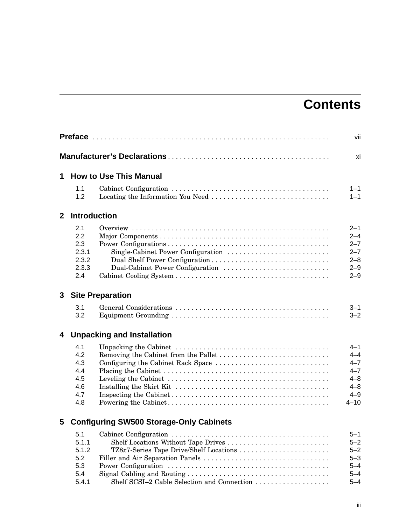# **Contents**

|              |                                                      |                                                                                                                    | vii                                                                                   |
|--------------|------------------------------------------------------|--------------------------------------------------------------------------------------------------------------------|---------------------------------------------------------------------------------------|
|              |                                                      |                                                                                                                    | xi                                                                                    |
| 1            |                                                      | <b>How to Use This Manual</b>                                                                                      |                                                                                       |
|              | 1.1<br>1.2                                           |                                                                                                                    | $1 - 1$<br>$1 - 1$                                                                    |
| $\mathbf{2}$ | <b>Introduction</b>                                  |                                                                                                                    |                                                                                       |
|              | 2.1<br>2.2<br>2.3<br>2.3.1<br>2.3.2<br>2.3.3<br>2.4  | Single-Cabinet Power Configuration<br>Dual Shelf Power Configuration<br>Dual-Cabinet Power Configuration           | $2 - 1$<br>$2 - 4$<br>$2 - 7$<br>$2 - 7$<br>$2 - 8$<br>$2 - 9$<br>$2 - 9$             |
| 3            |                                                      | <b>Site Preparation</b>                                                                                            |                                                                                       |
|              | 3.1<br>3.2                                           |                                                                                                                    | $3 - 1$<br>$3 - 2$                                                                    |
| 4            |                                                      | <b>Unpacking and Installation</b>                                                                                  |                                                                                       |
|              | 4.1<br>4.2<br>4.3<br>4.4<br>4.5<br>4.6<br>4.7<br>4.8 | Configuring the Cabinet Rack Space                                                                                 | $4 - 1$<br>$4 - 4$<br>$4 - 7$<br>$4 - 7$<br>$4 - 8$<br>$4 - 8$<br>$4 - 9$<br>$4 - 10$ |
| 5            |                                                      | <b>Configuring SW500 Storage-Only Cabinets</b>                                                                     |                                                                                       |
|              | 5.1<br>5.1.1<br>5.1.2<br>5.2<br>5.3<br>5.4           | Shelf Locations Without Tape Drives<br>TZ8x7-Series Tape Drive/Shelf Locations<br>Filler and Air Separation Panels | $5 - 1$<br>$5 - 2$<br>$5 - 2$<br>$5 - 3$<br>$5 - 4$<br>$5 - 4$                        |

5.4 Signal Cabling and Routing . . . . . . . . . . . . . . . . . . . . . . . . . . . . . . . . . . . . 5–4 5.4.1 Shelf SCSI–2 Cable Selection and Connection . . . . . . . . . . . . . . . . . . . 5–4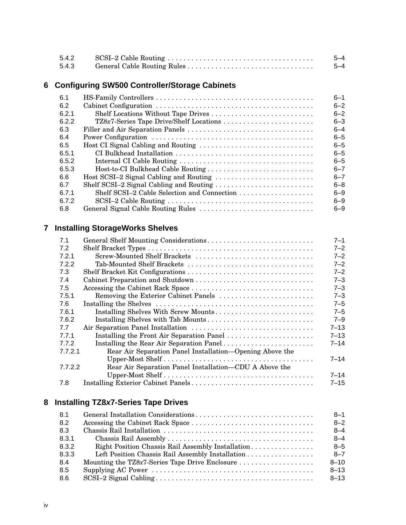| 5.4.2 | $5 - 4$ |
|-------|---------|
| 5.4.3 | 5-4     |

# **6 Configuring SW500 Controller/Storage Cabinets**

| 6.1   |                                         | $6 - 1$ |
|-------|-----------------------------------------|---------|
| 6.2   |                                         | $6 - 2$ |
| 6.2.1 | Shelf Locations Without Tape Drives     | $6 - 2$ |
| 6.2.2 | TZ8x7-Series Tape Drive/Shelf Locations | $6 - 3$ |
| 6.3   |                                         | $6 - 4$ |
| 6.4   |                                         | $6 - 5$ |
| 6.5   | Host CI Signal Cabling and Routing      | $6 - 5$ |
| 6.5.1 |                                         | $6 - 5$ |
| 6.5.2 |                                         | $6 - 5$ |
| 6.5.3 | Host-to-CI Bulkhead Cable Routing       | $6 - 7$ |
| 6.6   |                                         | $6 - 7$ |
| 6.7   |                                         | $6 - 8$ |
| 6.7.1 |                                         | $6 - 9$ |
| 6.7.2 |                                         | $6 - 9$ |
| 6.8   |                                         | $6 - 9$ |

# **7 Installing StorageWorks Shelves**

| 7.1     | General Shelf Mounting Considerations                    | $7 - 1$  |
|---------|----------------------------------------------------------|----------|
| 7.2     |                                                          | $7 - 2$  |
| 7.2.1   | Screw-Mounted Shelf Brackets                             | $7 - 2$  |
| 7.2.2   | Tab-Mounted Shelf Brackets                               | $7 - 2$  |
| 7.3     |                                                          | $7 - 2$  |
| 7.4     |                                                          | $7 - 3$  |
| 7.5     | Accessing the Cabinet Rack Space                         | $7 - 3$  |
| 7.5.1   | Removing the Exterior Cabinet Panels                     | $7 - 3$  |
| 7.6     |                                                          | $7 - 5$  |
| 7.6.1   | Installing Shelves With Screw Mounts                     | $7 - 5$  |
| 7.6.2   | Installing Shelves with Tab Mounts                       | $7 - 9$  |
| 7.7     |                                                          | $7 - 13$ |
| 7.7.1   | Installing the Front Air Separation Panel                | $7 - 13$ |
| 772     | Installing the Rear Air Separation Panel                 | $7 - 14$ |
| 7.7.2.1 | Rear Air Separation Panel Installation—Opening Above the |          |
|         |                                                          | $7 - 14$ |
| 7.7.2.2 | Rear Air Separation Panel Installation—CDU A Above the   |          |
|         |                                                          | $7 - 14$ |
| 7.8     |                                                          | $7 - 15$ |

# **8 Installing TZ8x7-Series Tape Drives**

| 8.1   |                                                   | $8 - 1$  |
|-------|---------------------------------------------------|----------|
| 8.2   |                                                   | $8 - 2$  |
| 8.3   |                                                   | $8 - 4$  |
| 8.3.1 |                                                   | $8 - 4$  |
| 8.3.2 | Right Position Chassis Rail Assembly Installation | $8 - 5$  |
| 8.3.3 |                                                   | $8 - 7$  |
| 8.4   | Mounting the TZ8x7-Series Tape Drive Enclosure    | $8 - 10$ |
| 8.5   |                                                   | $8 - 13$ |
| 8.6   |                                                   | $8 - 13$ |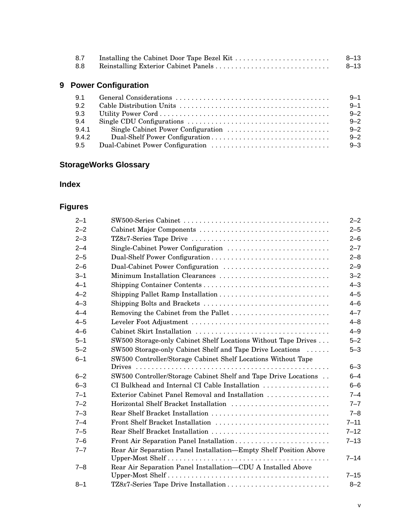| 8.7 | 8–13 |
|-----|------|
| 8.8 | 8–13 |

# **9 Power Configuration**

| 9.1   | $9 - 1$ |
|-------|---------|
| 9.2   | $9 - 1$ |
| 9.3   | $9 - 2$ |
| 9.4   | $9 - 2$ |
| 9.4.1 | $9 - 2$ |
| 9.4.2 | $9 - 2$ |
| 9.5   | $9 - 3$ |

# **StorageWorks Glossary**

## **Index**

# **Figures**

| $2 - 1$ |                                                                   | $2 - 2$  |
|---------|-------------------------------------------------------------------|----------|
| $2 - 2$ |                                                                   | $2 - 5$  |
| $2 - 3$ |                                                                   | $2 - 6$  |
| $2 - 4$ | Single-Cabinet Power Configuration                                | $2 - 7$  |
| $2 - 5$ | Dual-Shelf Power Configuration                                    | $2 - 8$  |
| $2 - 6$ | Dual-Cabinet Power Configuration                                  | $2 - 9$  |
| $3 - 1$ | Minimum Installation Clearances                                   | $3 - 2$  |
| $4 - 1$ |                                                                   | $4 - 3$  |
| $4 - 2$ |                                                                   | $4 - 5$  |
| $4 - 3$ | Shipping Bolts and Brackets                                       | $4 - 6$  |
| $4 - 4$ |                                                                   | $4 - 7$  |
| $4 - 5$ |                                                                   | $4 - 8$  |
| $4 - 6$ |                                                                   | $4 - 9$  |
| $5 - 1$ | SW500 Storage-only Cabinet Shelf Locations Without Tape Drives    | $5 - 2$  |
| $5 - 2$ | SW500 Storage-only Cabinet Shelf and Tape Drive Locations         | $5 - 3$  |
| $6 - 1$ | SW500 Controller/Storage Cabinet Shelf Locations Without Tape     |          |
|         |                                                                   | $6 - 3$  |
| $6 - 2$ | SW500 Controller/Storage Cabinet Shelf and Tape Drive Locations   | $6 - 4$  |
| $6 - 3$ | CI Bulkhead and Internal CI Cable Installation                    | $6 - 6$  |
| $7 - 1$ | Exterior Cabinet Panel Removal and Installation                   | $7 - 4$  |
| $7 - 2$ | Horizontal Shelf Bracket Installation                             | $7 - 7$  |
| $7 - 3$ | Rear Shelf Bracket Installation                                   | $7 - 8$  |
| $7 - 4$ | Front Shelf Bracket Installation                                  | $7 - 11$ |
| $7 - 5$ | Rear Shelf Bracket Installation                                   | $7 - 12$ |
| $7 - 6$ | Front Air Separation Panel Installation                           | $7 - 13$ |
| $7 - 7$ | Rear Air Separation Panel Installation-Empty Shelf Position Above |          |
|         |                                                                   | $7 - 14$ |
| $7 - 8$ | Rear Air Separation Panel Installation-CDU A Installed Above      |          |
|         |                                                                   | $7 - 15$ |
| $8 - 1$ |                                                                   | $8 - 2$  |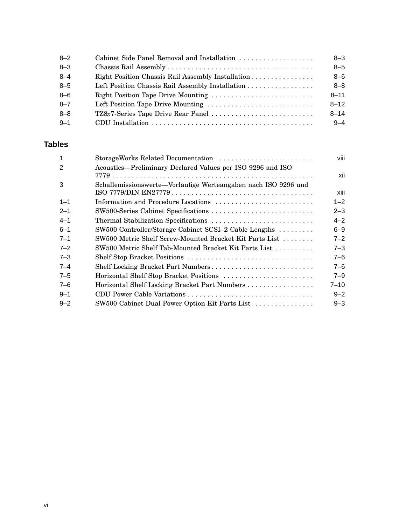| $8 - 2$ | Cabinet Side Panel Removal and Installation       | $8 - 3$  |
|---------|---------------------------------------------------|----------|
| $8 - 3$ |                                                   | $8 - 5$  |
| $8 - 4$ | Right Position Chassis Rail Assembly Installation | $8 - 6$  |
| $8 - 5$ |                                                   | $8 - 8$  |
| $8 - 6$ | Right Position Tape Drive Mounting                | $8 - 11$ |
| $8 - 7$ | Left Position Tape Drive Mounting                 | $8 - 12$ |
| $8 - 8$ |                                                   | $8 - 14$ |
| $9 - 1$ |                                                   | $9 - 4$  |

## **Tables**

| $\overline{1}$ | StorageWorks Related Documentation                             | viii     |
|----------------|----------------------------------------------------------------|----------|
| 2              | Acoustics-Preliminary Declared Values per ISO 9296 and ISO     | xii      |
| 3              | Schallemissionswerte-Vorläufige Werteangaben nach ISO 9296 und | xiii     |
| $1 - 1$        | Information and Procedure Locations                            | $1 - 2$  |
| $2 - 1$        | SW500-Series Cabinet Specifications                            | $2 - 3$  |
| $4 - 1$        |                                                                | $4 - 2$  |
| $6 - 1$        | SW500 Controller/Storage Cabinet SCSI-2 Cable Lengths          | $6 - 9$  |
| $7 - 1$        | SW500 Metric Shelf Screw-Mounted Bracket Kit Parts List        | $7 - 2$  |
| $7 - 2$        | SW500 Metric Shelf Tab-Mounted Bracket Kit Parts List          | $7 - 3$  |
| $7 - 3$        |                                                                | $7 - 6$  |
| $7 - 4$        | Shelf Locking Bracket Part Numbers                             | $7 - 6$  |
| $7 - 5$        | Horizontal Shelf Stop Bracket Positions                        | $7 - 9$  |
| $7 - 6$        | Horizontal Shelf Locking Bracket Part Numbers                  | $7 - 10$ |
| $9 - 1$        | CDU Power Cable Variations                                     | $9 - 2$  |
| $9 - 2$        | SW500 Cabinet Dual Power Option Kit Parts List                 | $9 - 3$  |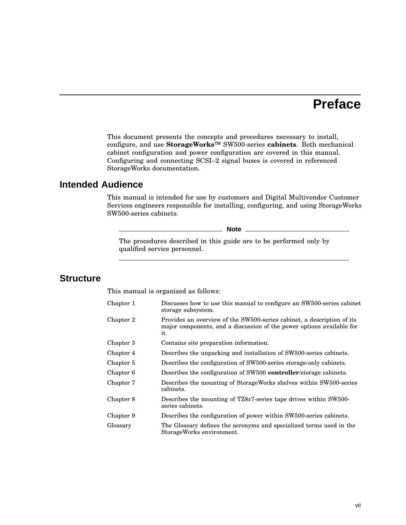# **Preface**

This document presents the concepts and procedures necessary to install, configure, and use **StorageWorks**™ SW500-series **cabinets**. Both mechanical cabinet configuration and power configuration are covered in this manual. Configuring and connecting SCSI–2 signal buses is covered in referenced StorageWorks documentation.

### **Intended Audience**

This manual is intended for use by customers and Digital Multivendor Customer Services engineers responsible for installing, configuring, and using StorageWorks SW500-series cabinets.

**Note**

The procedures described in this guide are to be performed only by qualified service personnel.

#### **Structure**

This manual is organized as follows:

| Chapter 1 | Discusses how to use this manual to configure an SW500-series cabinet<br>storage subsystem.                                                            |
|-----------|--------------------------------------------------------------------------------------------------------------------------------------------------------|
| Chapter 2 | Provides an overview of the SW500-series cabinet, a description of its<br>major components, and a discussion of the power options available for<br>it. |
| Chapter 3 | Contains site preparation information.                                                                                                                 |
| Chapter 4 | Describes the unpacking and installation of SW500-series cabinets.                                                                                     |
| Chapter 5 | Describes the configuration of SW500-series storage-only cabinets.                                                                                     |
| Chapter 6 | Describes the configuration of SW500 <b>controller</b> /storage cabinets.                                                                              |
| Chapter 7 | Describes the mounting of StorageWorks shelves within SW500-series<br>cabinets.                                                                        |
| Chapter 8 | Describes the mounting of $TZ8x7$ -series tape drives within SW500-<br>series cabinets.                                                                |
| Chapter 9 | Describes the configuration of power within SW500-series cabinets.                                                                                     |
| Glossary  | The Glossary defines the acronyms and specialized terms used in the<br>StorageWorks environment.                                                       |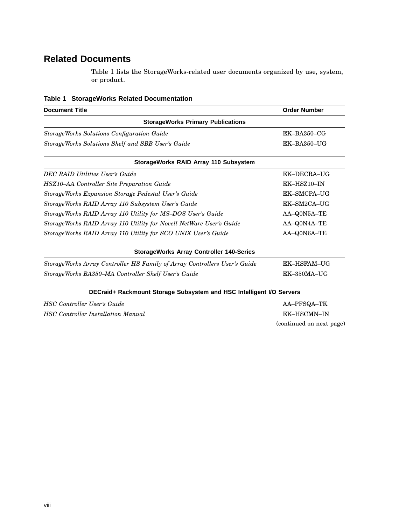# **Related Documents**

Table 1 lists the StorageWorks-related user documents organized by use, system, or product.

|  | Table 1 StorageWorks Related Documentation |
|--|--------------------------------------------|
|  |                                            |

| <b>Document Title</b>                                                     | <b>Order Number</b>      |
|---------------------------------------------------------------------------|--------------------------|
| <b>StorageWorks Primary Publications</b>                                  |                          |
| StorageWorks Solutions Configuration Guide                                | EK-BA350-CG              |
| StorageWorks Solutions Shelf and SBB User's Guide                         | EK-BA350-UG              |
| StorageWorks RAID Array 110 Subsystem                                     |                          |
| <b>DEC RAID Utilities User's Guide</b>                                    | EK-DECRA-UG              |
| HSZ10-AA Controller Site Preparation Guide                                | EK-HSZ10-IN              |
| StorageWorks Expansion Storage Pedestal User's Guide                      | EK-SMCPA-UG              |
| StorageWorks RAID Array 110 Subsystem User's Guide                        | EK-SM2CA-UG              |
| StorageWorks RAID Array 110 Utility for MS-DOS User's Guide               | AA-Q0N5A-TE              |
| StorageWorks RAID Array 110 Utility for Novell NetWare User's Guide       | AA-Q0N4A-TE              |
| StorageWorks RAID Array 110 Utility for SCO UNIX User's Guide             | AA-Q0N6A-TE              |
| <b>StorageWorks Array Controller 140-Series</b>                           |                          |
| StorageWorks Array Controller HS Family of Array Controllers User's Guide | EK-HSFAM-UG              |
| StorageWorks BA350–MA Controller Shelf User's Guide                       | EK-350MA-UG              |
| DECraid+ Rackmount Storage Subsystem and HSC Intelligent I/O Servers      |                          |
| <b>HSC</b> Controller User's Guide                                        | AA-PFSQA-TK              |
| <b>HSC</b> Controller Installation Manual                                 | EK-HSCMN-IN              |
|                                                                           | (continued on next page) |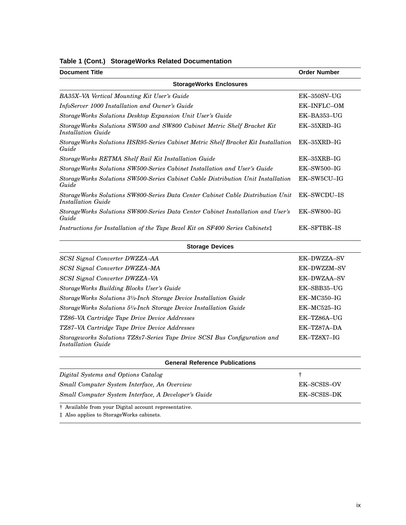| Table 1 (Cont.) StorageWorks Related Documentation |  |  |  |  |  |
|----------------------------------------------------|--|--|--|--|--|
|----------------------------------------------------|--|--|--|--|--|

| <b>Document Title</b>                                                                                 | <b>Order Number</b> |
|-------------------------------------------------------------------------------------------------------|---------------------|
| <b>StorageWorks Enclosures</b>                                                                        |                     |
| BA35X-VA Vertical Mounting Kit User's Guide                                                           | $EK-350SV-UG$       |
| InfoServer 1000 Installation and Owner's Guide                                                        | <b>EK-INFLC-OM</b>  |
| StorageWorks Solutions Desktop Expansion Unit User's Guide                                            | $EK-BA353-UG$       |
| StorageWorks Solutions SW500 and SW800 Cabinet Metric Shelf Bracket Kit<br>Installation Guide         | $EK-35XRD-IG$       |
| StorageWorks Solutions HSR95-Series Cabinet Metric Shelf Bracket Kit Installation<br>Guide            | $EK-35XRD-IG$       |
| StorageWorks RETMA Shelf Rail Kit Installation Guide                                                  | $EK-35XRB-IG$       |
| Storage Works Solutions SW500-Series Cabinet Installation and User's Guide                            | $EK$ -SW500-IG      |
| StorageWorks Solutions SW500-Series Cabinet Cable Distribution Unit Installation<br>Guide             | EK-SW5CU-IG         |
| StorageWorks Solutions SW800-Series Data Center Cabinet Cable Distribution Unit<br>Installation Guide | <b>EK-SWCDU-IS</b>  |
| StorageWorks Solutions SW800-Series Data Center Cabinet Installation and User's<br>Guide              | $EK$ -SW800-IG      |
| Instructions for Installation of the Tape Bezel Kit on SF400 Series Cabinets:                         | <b>EK-SFTBK-IS</b>  |

| <b>Storage Devices</b>                                                                          |               |  |  |
|-------------------------------------------------------------------------------------------------|---------------|--|--|
| <b>SCSI Signal Converter DWZZA-AA</b>                                                           | EK-DWZZA-SV   |  |  |
| SCSI Signal Converter DWZZA-MA                                                                  | EK-DWZZM-SV   |  |  |
| SCSI Signal Converter DWZZA-VA                                                                  | EK-DWZAA-SV   |  |  |
| StorageWorks Building Blocks User's Guide                                                       | EK-SBB35-UG   |  |  |
| StorageWorks Solutions 3 <sup>1</sup> /2-Inch Storage Device Installation Guide                 | $EK-MC350-IG$ |  |  |
| StorageWorks Solutions 5 <sup>1</sup> /4-Inch Storage Device Installation Guide                 | $EK-MC525-IG$ |  |  |
| TZ86–VA Cartridge Tape Drive Device Addresses                                                   | EK-TZ86A-UG   |  |  |
| TZ87–VA Cartridge Tape Drive Device Addresses                                                   | EK-TZ87A-DA   |  |  |
| Storageworks Solutions TZ8x7-Series Tape Drive SCSI Bus Configuration and<br>Installation Guide | $EK-TZ8X7-IG$ |  |  |
| <b>General Reference Publications</b>                                                           |               |  |  |

| Digital Systems and Options Catalog                  |             |
|------------------------------------------------------|-------------|
| Small Computer System Interface, An Overview         | EK-SCSIS-OV |
| Small Computer System Interface, A Developer's Guide | EK-SCSIS-DK |

† Available from your Digital account representative.

‡ Also applies to StorageWorks cabinets.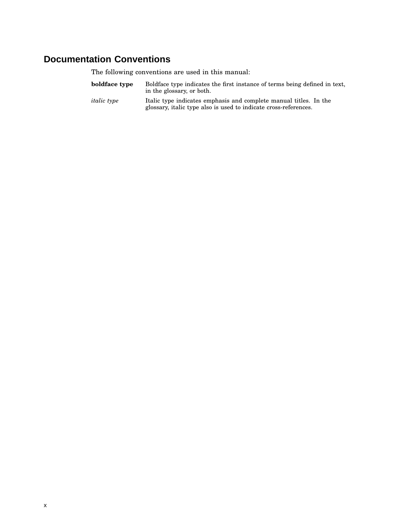## **Documentation Conventions**

The following conventions are used in this manual:

- **boldface type** Boldface type indicates the first instance of terms being defined in text, in the glossary, or both.
- *italic type* Italic type indicates emphasis and complete manual titles. In the glossary, italic type also is used to indicate cross-references.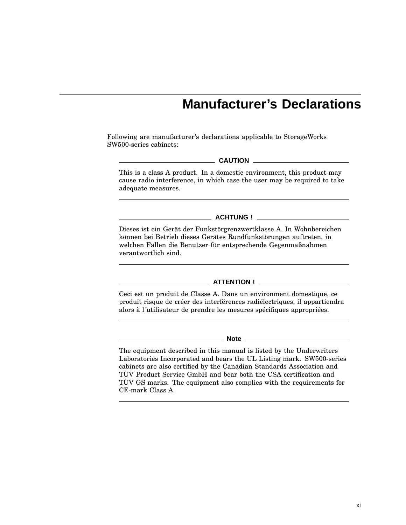# **Manufacturer's Declarations**

Following are manufacturer's declarations applicable to StorageWorks SW500-series cabinets:

#### **CAUTION**

This is a class A product. In a domestic environment, this product may cause radio interference, in which case the user may be required to take adequate measures.

**ACHTUNG !**

Dieses ist ein Gerät der Funkstörgrenzwertklasse A. In Wohnbereichen können bei Betrieb dieses Gerätes Rundfunkstörungen auftreten, in welchen Fällen die Benutzer für entsprechende Gegenmaßnahmen verantwortlich sind.

#### **ATTENTION !**

Ceci est un produit de Classe A. Dans un environment domestique, ce produit risque de créer des interférences radiélectriques, il appartiendra alors à l´utilisateur de prendre les mesures spécifiques appropriées.

#### **Note**

The equipment described in this manual is listed by the Underwriters Laboratories Incorporated and bears the UL Listing mark. SW500-series cabinets are also certified by the Canadian Standards Association and TÜV Product Service GmbH and bear both the CSA certification and TÜV GS marks. The equipment also complies with the requirements for CE-mark Class A.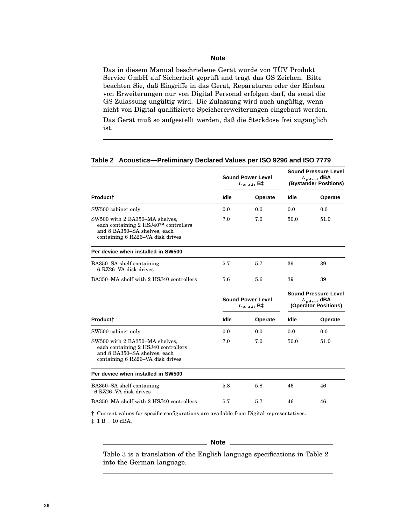| I<br>I<br>w<br>۰.<br>۰. |  |
|-------------------------|--|
|-------------------------|--|

Das in diesem Manual beschriebene Gerät wurde von TÜV Produkt Service GmbH auf Sicherheit geprüft and trägt das GS Zeichen. Bitte beachten Sie, daß Eingriffe in das Gerät, Reparaturen oder der Einbau von Erweiterungen nur von Digital Personal erfolgen darf, da sonst die GS Zulassung ungültig wird. Die Zulassung wird auch ungültig, wenn nicht von Digital qualifizierte Speichererweiterungen eingebaut werden.

Das Gerät muß so aufgestellt werden, daß die Steckdose frei zugänglich ist.

|                                                                                                                                            | <b>Sound Power Level</b><br>$L_{W\,Ad}$ , B‡ |         | <b>Sound Pressure Level</b><br>$L_{\nu Am}$ , dBA<br>(Bystander Positions) |         |
|--------------------------------------------------------------------------------------------------------------------------------------------|----------------------------------------------|---------|----------------------------------------------------------------------------|---------|
| Product <sup>+</sup>                                                                                                                       | Idle                                         | Operate | Idle                                                                       | Operate |
| SW500 cabinet only                                                                                                                         | 0.0                                          | 0.0     | 0.0                                                                        | 0.0     |
| SW500 with 2 BA350-MA shelves,<br>each containing 2 HSJ40™ controllers<br>and 8 BA350-SA shelves, each<br>containing 6 RZ26–VA disk drives | 7.0                                          | 7.0     | 50.0                                                                       | 51.0    |
| Per device when installed in SW500                                                                                                         |                                              |         |                                                                            |         |
| BA350–SA shelf containing<br>6 RZ26-VA disk drives                                                                                         | 5.7                                          | 5.7     | 39                                                                         | 39      |
| BA350–MA shelf with 2 HSJ40 controllers                                                                                                    | 5.6                                          | 5.6     | 39                                                                         | 39      |
|                                                                                                                                            | <b>Sound Power Level</b><br>$L_{WAd}$ , B‡   |         | <b>Sound Pressure Level</b><br>$L_{p,Am}$ , dBA<br>(Operator Positions)    |         |
| <b>Productt</b>                                                                                                                            | Idle                                         | Operate | Idle                                                                       | Operate |
| SW500 cabinet only                                                                                                                         | 0.0                                          | 0.0     | 0.0                                                                        | 0.0     |
| SW500 with 2 BA350–MA shelves,<br>each containing 2 HSJ40 controllers<br>and 8 BA350-SA shelves, each<br>containing 6 RZ26–VA disk drives  | 7.0                                          | 7.0     | 50.0                                                                       | 51.0    |
| Per device when installed in SW500                                                                                                         |                                              |         |                                                                            |         |
| BA350–SA shelf containing<br>6 RZ26–VA disk drives                                                                                         | 5.8                                          | 5.8     | 46                                                                         | 46      |
| BA350–MA shelf with 2 HSJ40 controllers                                                                                                    | 5.7                                          | 5.7     | 46                                                                         | 46      |
| † Current values for specific configurations are available from Digital representatives.                                                   |                                              |         |                                                                            |         |

#### **Table 2 Acoustics—Preliminary Declared Values per ISO 9296 and ISO 7779**

 $\ddagger$  1 B = 10 dBA.

#### **Note**

Table 3 is a translation of the English language specifications in Table 2 into the German language.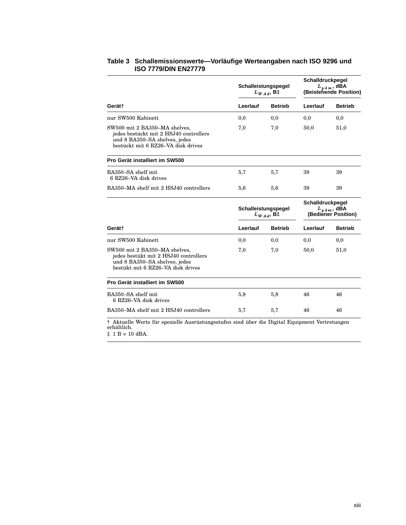|                                                                                                                                                |          | Schalleistungspegel<br>$L_{WAd}$ , B‡ |          | Schalldruckpegel<br>$L_{p,Am}$ , dBA<br>(Beistehende Position) |  |
|------------------------------------------------------------------------------------------------------------------------------------------------|----------|---------------------------------------|----------|----------------------------------------------------------------|--|
| Gerät†                                                                                                                                         | Leerlauf | <b>Betrieb</b>                        | Leerlauf | <b>Betrieb</b>                                                 |  |
| nur SW500 Kabinett                                                                                                                             | 0,0      | 0,0                                   | 0,0      | 0,0                                                            |  |
| SW500 mit 2 BA350-MA shelves,<br>jedes bestückt mit 2 HSJ40 controllers<br>und 8 BA350–SA shelves, jedes<br>bestückt mit 6 RZ26–VA disk drives | 7,0      | 7,0                                   | 50,0     | 51,0                                                           |  |
| Pro Gerät installiert im SW500                                                                                                                 |          |                                       |          |                                                                |  |
| BA350-SA shelf mit<br>6 RZ26-VA disk drives                                                                                                    | 5,7      | 5,7                                   | 39       | 39                                                             |  |
| BA350–MA shelf mit 2 HSJ40 controllers                                                                                                         | 5,6      | 5,6                                   | 39       | 39                                                             |  |
|                                                                                                                                                |          | Schalleistungspegel<br>$L_{WAd}$ , B‡ |          | Schalldruckpegel<br>$L_{p,Am}$ , dBA<br>(Bediener Position)    |  |
| Gerät†                                                                                                                                         | Leerlauf | <b>Betrieb</b>                        | Leerlauf | <b>Betrieb</b>                                                 |  |
| nur SW500 Kabinett                                                                                                                             | 0,0      | 0,0                                   | 0,0      | 0,0                                                            |  |
| SW500 mit 2 BA350-MA shelves,<br>jedes bestükt mit 2 HSJ40 controllers<br>und 8 BA350–SA shelves, jedes<br>bestükt mit 6 RZ26-VA disk drives   | 7,0      | 7,0                                   | 50,0     | 51,0                                                           |  |
| Pro Gerät installiert im SW500                                                                                                                 |          |                                       |          |                                                                |  |
| BA350–SA shelf mit<br>6 RZ26-VA disk drives                                                                                                    | 5,8      | 5,8                                   | 46       | 46                                                             |  |
| BA350–MA shelf mit 2 HSJ40 controllers                                                                                                         | 5,7      | 5,7                                   | 46       | 46                                                             |  |
| † Aktuelle Werte für spezielle Ausrüstungsstufen sind über die Digital Equipment Vertretungen<br>erhältlich.                                   |          |                                       |          |                                                                |  |

#### **Table 3 Schallemissionswerte—Vorläufige Werteangaben nach ISO 9296 und ISO 7779/DIN EN27779**

 $\ddagger$  1 B = 10 dBA.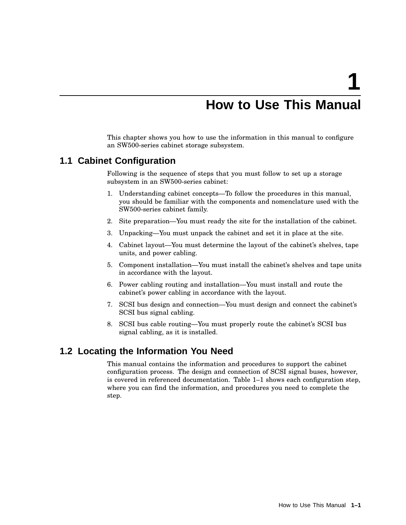# **How to Use This Manual**

This chapter shows you how to use the information in this manual to configure an SW500-series cabinet storage subsystem.

### **1.1 Cabinet Configuration**

Following is the sequence of steps that you must follow to set up a storage subsystem in an SW500-series cabinet:

- 1. Understanding cabinet concepts—To follow the procedures in this manual, you should be familiar with the components and nomenclature used with the SW500-series cabinet family.
- 2. Site preparation—You must ready the site for the installation of the cabinet.
- 3. Unpacking—You must unpack the cabinet and set it in place at the site.
- 4. Cabinet layout—You must determine the layout of the cabinet's shelves, tape units, and power cabling.
- 5. Component installation—You must install the cabinet's shelves and tape units in accordance with the layout.
- 6. Power cabling routing and installation—You must install and route the cabinet's power cabling in accordance with the layout.
- 7. SCSI bus design and connection—You must design and connect the cabinet's SCSI bus signal cabling.
- 8. SCSI bus cable routing—You must properly route the cabinet's SCSI bus signal cabling, as it is installed.

### **1.2 Locating the Information You Need**

This manual contains the information and procedures to support the cabinet configuration process. The design and connection of SCSI signal buses, however, is covered in referenced documentation. Table 1–1 shows each configuration step, where you can find the information, and procedures you need to complete the step.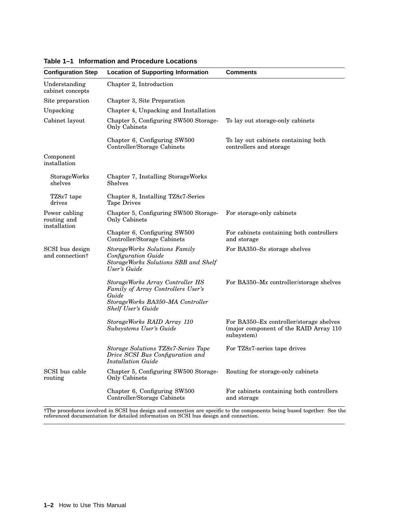| <b>Configuration Step</b>                      | <b>Location of Supporting Information</b>                                                                                                        | <b>Comments</b>                                                                                 |
|------------------------------------------------|--------------------------------------------------------------------------------------------------------------------------------------------------|-------------------------------------------------------------------------------------------------|
| Understanding<br>cabinet concepts              | Chapter 2, Introduction                                                                                                                          |                                                                                                 |
| Site preparation                               | Chapter 3, Site Preparation                                                                                                                      |                                                                                                 |
| Unpacking                                      | Chapter 4, Unpacking and Installation                                                                                                            |                                                                                                 |
| Cabinet layout                                 | Chapter 5, Configuring SW500 Storage-<br>Only Cabinets                                                                                           | To lay out storage-only cabinets                                                                |
|                                                | Chapter 6, Configuring SW500<br>Controller/Storage Cabinets                                                                                      | To lay out cabinets containing both<br>controllers and storage                                  |
| Component<br>installation                      |                                                                                                                                                  |                                                                                                 |
| StorageWorks<br>shelves                        | Chapter 7, Installing StorageWorks<br>Shelves                                                                                                    |                                                                                                 |
| $TZ8x7$ tape<br>drives                         | Chapter 8, Installing TZ8x7-Series<br><b>Tape Drives</b>                                                                                         |                                                                                                 |
| Power cabling<br>routing and<br>installation   | Chapter 5, Configuring SW500 Storage-<br>Only Cabinets                                                                                           | For storage-only cabinets                                                                       |
|                                                | Chapter 6, Configuring SW500<br>Controller/Storage Cabinets                                                                                      | For cabinets containing both controllers<br>and storage                                         |
| SCSI bus design<br>and connection <sup>†</sup> | StorageWorks Solutions Family<br><b>Configuration Guide</b><br>StorageWorks Solutions SBB and Shelf<br>User's Guide                              | For BA350–Sx storage shelves                                                                    |
|                                                | StorageWorks Array Controller HS<br>Family of Array Controllers User's<br>Guide<br>StorageWorks BA350–MA Controller<br><b>Shelf User's Guide</b> | For BA350–Mx controller/storage shelves                                                         |
|                                                | StorageWorks RAID Array 110<br>Subsystems User's Guide                                                                                           | For BA350-Ex controller/storage shelves<br>(major component of the RAID Array 110<br>subsystem) |
|                                                | Storage Solutions TZ8x7-Series Tape<br>Drive SCSI Bus Configuration and<br>Installation Guide                                                    | For TZ8x7-series tape drives                                                                    |
| SCSI bus cable<br>routing                      | Chapter 5, Configuring SW500 Storage-<br>Only Cabinets                                                                                           | Routing for storage-only cabinets                                                               |
|                                                | Chapter 6, Configuring SW500<br>Controller/Storage Cabinets                                                                                      | For cabinets containing both controllers<br>and storage                                         |

**Table 1–1 Information and Procedure Locations**

†The procedures involved in SCSI bus design and connection are specific to the components being bused together. See the referenced documentation for detailed information on SCSI bus design and connection.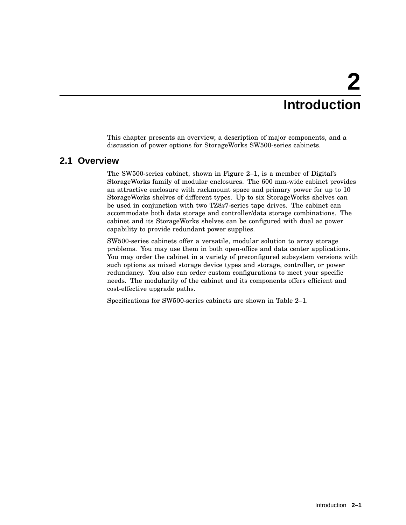# **2 Introduction**

This chapter presents an overview, a description of major components, and a discussion of power options for StorageWorks SW500-series cabinets.

## **2.1 Overview**

The SW500-series cabinet, shown in Figure 2–1, is a member of Digital's StorageWorks family of modular enclosures. The 600 mm-wide cabinet provides an attractive enclosure with rackmount space and primary power for up to 10 StorageWorks shelves of different types. Up to six StorageWorks shelves can be used in conjunction with two TZ8*x*7-series tape drives. The cabinet can accommodate both data storage and controller/data storage combinations. The cabinet and its StorageWorks shelves can be configured with dual ac power capability to provide redundant power supplies.

SW500-series cabinets offer a versatile, modular solution to array storage problems. You may use them in both open-office and data center applications. You may order the cabinet in a variety of preconfigured subsystem versions with such options as mixed storage device types and storage, controller, or power redundancy. You also can order custom configurations to meet your specific needs. The modularity of the cabinet and its components offers efficient and cost-effective upgrade paths.

Specifications for SW500-series cabinets are shown in Table 2–1.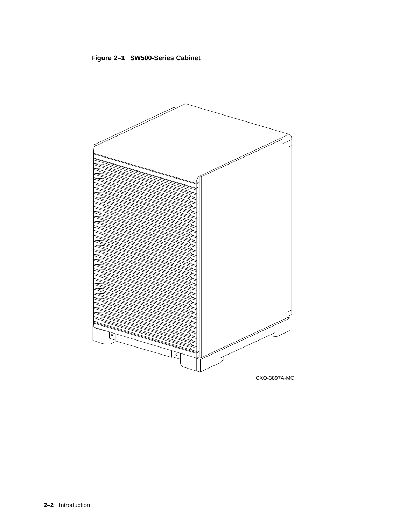



CXO-3897A-MC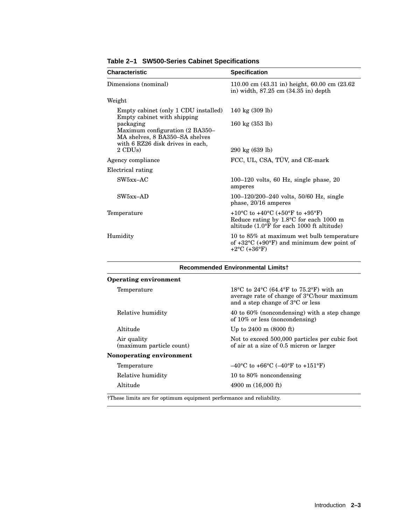| <b>Characteristic</b>                                                                                              | <b>Specification</b>                                                                                                                        |
|--------------------------------------------------------------------------------------------------------------------|---------------------------------------------------------------------------------------------------------------------------------------------|
| Dimensions (nominal)                                                                                               | 110.00 cm (43.31 in) height, 60.00 cm (23.62<br>in) width, $87.25 \text{ cm}$ $(34.35 \text{ in}) \text{ depth}$                            |
| Weight                                                                                                             |                                                                                                                                             |
| Empty cabinet (only 1 CDU installed)<br>Empty cabinet with shipping                                                | 140 kg $(309$ lb)                                                                                                                           |
| packaging<br>Maximum configuration (2 BA350–<br>MA shelves, 8 BA350-SA shelves<br>with 6 RZ26 disk drives in each, | 160 kg $(353 \text{ lb})$                                                                                                                   |
| 2 CDU <sub>s</sub> )                                                                                               | $290 \text{ kg} (639 \text{ lb})$                                                                                                           |
| Agency compliance                                                                                                  | FCC, UL, CSA, TÜV, and CE-mark                                                                                                              |
| Electrical rating                                                                                                  |                                                                                                                                             |
| $SW5xx-AC$                                                                                                         | $100-120$ volts, 60 Hz, single phase, 20<br>amperes                                                                                         |
| $SW5xx-AD$                                                                                                         | $100-120/200-240$ volts, $50/60$ Hz, single<br>phase, $20/16$ amperes                                                                       |
| Temperature                                                                                                        | +10°C to +40°C (+50°F to +95°F)<br>Reduce rating by $1.8^{\circ}$ C for each 1000 m<br>altitude $(1.0^{\circ}F)$ for each 1000 ft altitude) |
| Humidity                                                                                                           | 10 to 85% at maximum wet bulb temperature<br>of $+32^{\circ}$ C ( $+90^{\circ}$ F) and minimum dew point of<br>$+2$ °C (+36°F)              |

#### **Table 2–1 SW500-Series Cabinet Specifications**

| <b>Recommended Environmental Limitst</b> |                                                                                                                                                   |  |  |  |
|------------------------------------------|---------------------------------------------------------------------------------------------------------------------------------------------------|--|--|--|
| <b>Operating environment</b>             |                                                                                                                                                   |  |  |  |
| Temperature                              | 18 °C to 24 °C (64.4 °F to 75.2 °F) with an<br>average rate of change of $3^{\circ}$ C/hour maximum<br>and a step change of $3^{\circ}$ C or less |  |  |  |
| Relative humidity                        | 40 to 60% (noncondensing) with a step change<br>of $10\%$ or less (noncondensing)                                                                 |  |  |  |
| Altitude                                 | Up to $2400 \text{ m}$ (8000 ft)                                                                                                                  |  |  |  |
| Air quality<br>(maximum particle count)  | Not to exceed 500,000 particles per cubic foot<br>of air at a size of 0.5 micron or larger                                                        |  |  |  |
| Nonoperating environment                 |                                                                                                                                                   |  |  |  |
| Temperature                              | $-40^{\circ}$ C to +66 $^{\circ}$ C (-40 $^{\circ}$ F to +151 $^{\circ}$ F)                                                                       |  |  |  |
| Relative humidity                        | 10 to 80% noncondensing                                                                                                                           |  |  |  |
| Altitude                                 | $4900 \text{ m}$ (16,000 ft)                                                                                                                      |  |  |  |

†These limits are for optimum equipment performance and reliability.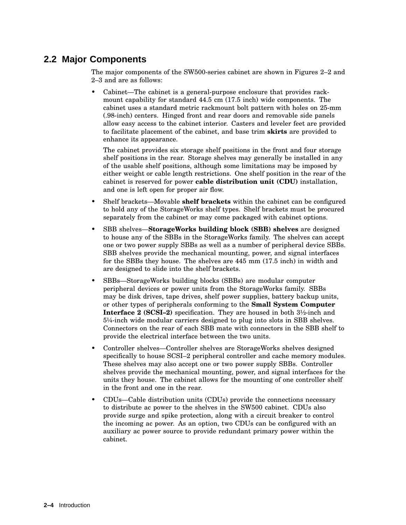## **2.2 Major Components**

The major components of the SW500-series cabinet are shown in Figures 2–2 and 2–3 and are as follows:

• Cabinet—The cabinet is a general-purpose enclosure that provides rackmount capability for standard 44.5 cm (17.5 inch) wide components. The cabinet uses a standard metric rackmount bolt pattern with holes on 25-mm (.98-inch) centers. Hinged front and rear doors and removable side panels allow easy access to the cabinet interior. Casters and leveler feet are provided to facilitate placement of the cabinet, and base trim **skirts** are provided to enhance its appearance.

The cabinet provides six storage shelf positions in the front and four storage shelf positions in the rear. Storage shelves may generally be installed in any of the usable shelf positions, although some limitations may be imposed by either weight or cable length restrictions. One shelf position in the rear of the cabinet is reserved for power **cable distribution unit (CDU)** installation, and one is left open for proper air flow.

- Shelf brackets—Movable **shelf brackets** within the cabinet can be configured to hold any of the StorageWorks shelf types. Shelf brackets must be procured separately from the cabinet or may come packaged with cabinet options.
- SBB shelves—**StorageWorks building block (SBB) shelves** are designed to house any of the SBBs in the StorageWorks family. The shelves can accept one or two power supply SBBs as well as a number of peripheral device SBBs. SBB shelves provide the mechanical mounting, power, and signal interfaces for the SBBs they house. The shelves are 445 mm (17.5 inch) in width and are designed to slide into the shelf brackets.
- SBBs—StorageWorks building blocks (SBBs) are modular computer peripheral devices or power units from the StorageWorks family. SBBs may be disk drives, tape drives, shelf power supplies, battery backup units, or other types of peripherals conforming to the **Small System Computer Interface 2 (SCSI–2)** specification. They are housed in both 3½-inch and 5¼-inch wide modular carriers designed to plug into slots in SBB shelves. Connectors on the rear of each SBB mate with connectors in the SBB shelf to provide the electrical interface between the two units.
- Controller shelves—Controller shelves are StorageWorks shelves designed specifically to house SCSI–2 peripheral controller and cache memory modules. These shelves may also accept one or two power supply SBBs. Controller shelves provide the mechanical mounting, power, and signal interfaces for the units they house. The cabinet allows for the mounting of one controller shelf in the front and one in the rear.
- CDUs—Cable distribution units (CDUs) provide the connections necessary to distribute ac power to the shelves in the SW500 cabinet. CDUs also provide surge and spike protection, along with a circuit breaker to control the incoming ac power. As an option, two CDUs can be configured with an auxiliary ac power source to provide redundant primary power within the cabinet.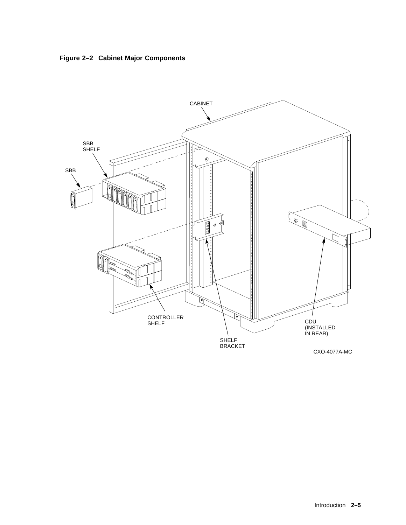

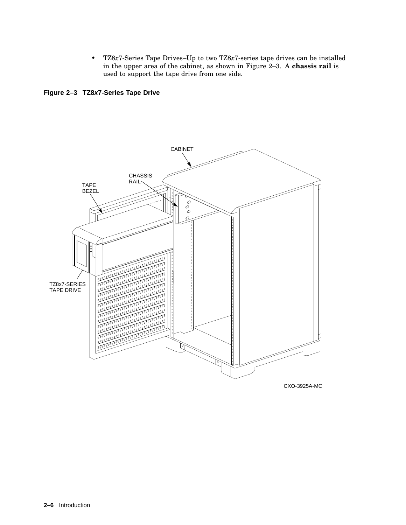• TZ8*x*7-Series Tape Drives–Up to two TZ8*x*7-series tape drives can be installed in the upper area of the cabinet, as shown in Figure 2–3. A **chassis rail** is used to support the tape drive from one side.

**Figure 2–3 TZ8x7-Series Tape Drive**

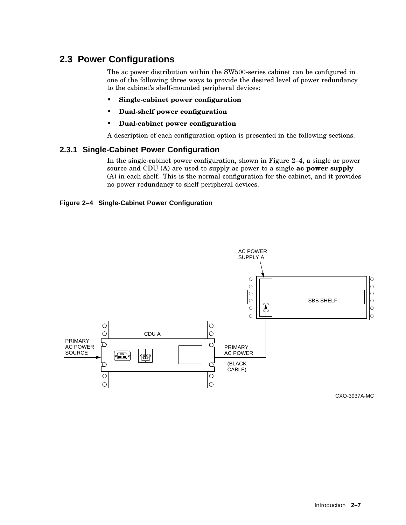## **2.3 Power Configurations**

The ac power distribution within the SW500-series cabinet can be configured in one of the following three ways to provide the desired level of power redundancy to the cabinet's shelf-mounted peripheral devices:

- **Single-cabinet power configuration**
- **Dual-shelf power configuration**
- **Dual-cabinet power configuration**

A description of each configuration option is presented in the following sections.

#### **2.3.1 Single-Cabinet Power Configuration**

In the single-cabinet power configuration, shown in Figure 2–4, a single ac power source and CDU (A) are used to supply ac power to a single **ac power supply** (A) in each shelf. This is the normal configuration for the cabinet, and it provides no power redundancy to shelf peripheral devices.

#### **Figure 2–4 Single-Cabinet Power Configuration**



CXO-3937A-MC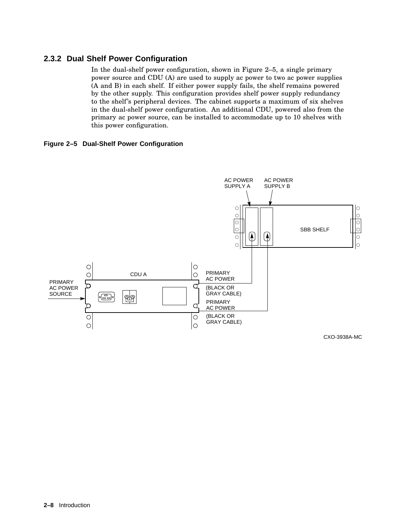#### **2.3.2 Dual Shelf Power Configuration**

In the dual-shelf power configuration, shown in Figure 2–5, a single primary power source and CDU (A) are used to supply ac power to two ac power supplies (A and B) in each shelf. If either power supply fails, the shelf remains powered by the other supply. This configuration provides shelf power supply redundancy to the shelf's peripheral devices. The cabinet supports a maximum of six shelves in the dual-shelf power configuration. An additional CDU, powered also from the primary ac power source, can be installed to accommodate up to 10 shelves with this power configuration.

**Figure 2–5 Dual-Shelf Power Configuration**



CXO-3938A-MC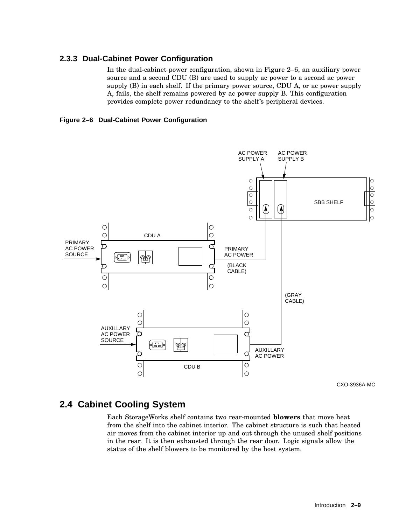#### **2.3.3 Dual-Cabinet Power Configuration**

In the dual-cabinet power configuration, shown in Figure 2–6, an auxiliary power source and a second CDU (B) are used to supply ac power to a second ac power supply (B) in each shelf. If the primary power source, CDU A, or ac power supply A, fails, the shelf remains powered by ac power supply B. This configuration provides complete power redundancy to the shelf's peripheral devices.





CXO-3936A-MC

## **2.4 Cabinet Cooling System**

Each StorageWorks shelf contains two rear-mounted **blowers** that move heat from the shelf into the cabinet interior. The cabinet structure is such that heated air moves from the cabinet interior up and out through the unused shelf positions in the rear. It is then exhausted through the rear door. Logic signals allow the status of the shelf blowers to be monitored by the host system.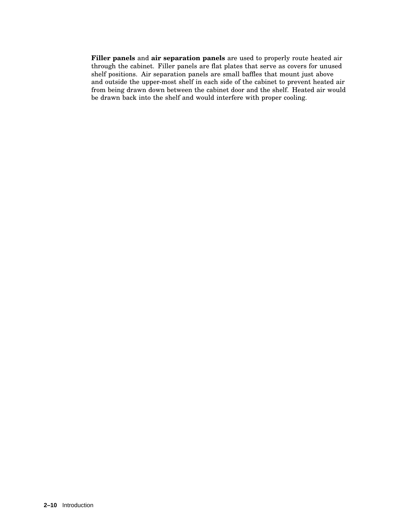**Filler panels** and **air separation panels** are used to properly route heated air through the cabinet. Filler panels are flat plates that serve as covers for unused shelf positions. Air separation panels are small baffles that mount just above and outside the upper-most shelf in each side of the cabinet to prevent heated air from being drawn down between the cabinet door and the shelf. Heated air would be drawn back into the shelf and would interfere with proper cooling.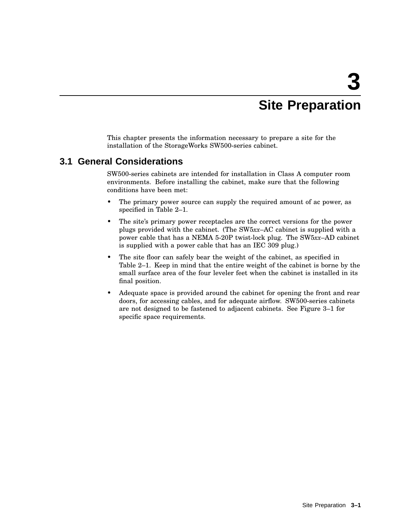# **3 Site Preparation**

This chapter presents the information necessary to prepare a site for the installation of the StorageWorks SW500-series cabinet.

## **3.1 General Considerations**

SW500-series cabinets are intended for installation in Class A computer room environments. Before installing the cabinet, make sure that the following conditions have been met:

- The primary power source can supply the required amount of ac power, as specified in Table 2–1.
- The site's primary power receptacles are the correct versions for the power plugs provided with the cabinet. (The SW5*xx*–AC cabinet is supplied with a power cable that has a NEMA 5-20P twist-lock plug. The SW5*xx*–AD cabinet is supplied with a power cable that has an IEC 309 plug.)
- The site floor can safely bear the weight of the cabinet, as specified in Table 2–1. Keep in mind that the entire weight of the cabinet is borne by the small surface area of the four leveler feet when the cabinet is installed in its final position.
- Adequate space is provided around the cabinet for opening the front and rear doors, for accessing cables, and for adequate airflow. SW500-series cabinets are not designed to be fastened to adjacent cabinets. See Figure 3–1 for specific space requirements.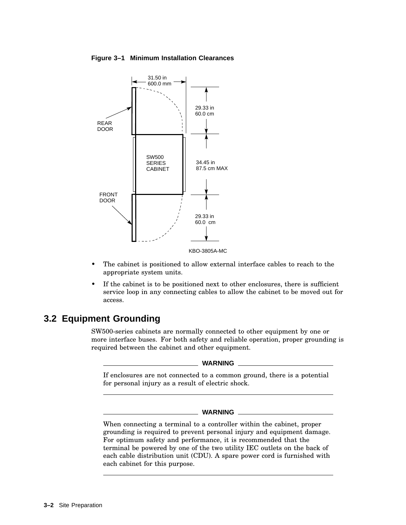**Figure 3–1 Minimum Installation Clearances**



- The cabinet is positioned to allow external interface cables to reach to the appropriate system units.
- If the cabinet is to be positioned next to other enclosures, there is sufficient service loop in any connecting cables to allow the cabinet to be moved out for access.

## **3.2 Equipment Grounding**

SW500-series cabinets are normally connected to other equipment by one or more interface buses. For both safety and reliable operation, proper grounding is required between the cabinet and other equipment.

**WARNING**

If enclosures are not connected to a common ground, there is a potential for personal injury as a result of electric shock.

#### **WARNING**

When connecting a terminal to a controller within the cabinet, proper grounding is required to prevent personal injury and equipment damage. For optimum safety and performance, it is recommended that the terminal be powered by one of the two utility IEC outlets on the back of each cable distribution unit (CDU). A spare power cord is furnished with each cabinet for this purpose.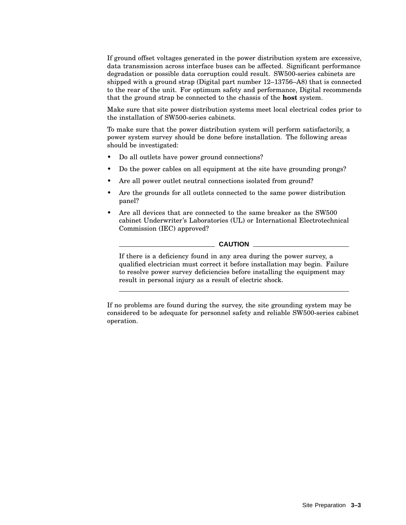If ground offset voltages generated in the power distribution system are excessive, data transmission across interface buses can be affected. Significant performance degradation or possible data corruption could result. SW500-series cabinets are shipped with a ground strap (Digital part number 12–13756–A8) that is connected to the rear of the unit. For optimum safety and performance, Digital recommends that the ground strap be connected to the chassis of the **host** system.

Make sure that site power distribution systems meet local electrical codes prior to the installation of SW500-series cabinets.

To make sure that the power distribution system will perform satisfactorily, a power system survey should be done before installation. The following areas should be investigated:

- Do all outlets have power ground connections?
- Do the power cables on all equipment at the site have grounding prongs?
- Are all power outlet neutral connections isolated from ground?
- Are the grounds for all outlets connected to the same power distribution panel?
- Are all devices that are connected to the same breaker as the SW500 cabinet Underwriter's Laboratories (UL) or International Electrotechnical Commission (IEC) approved?

#### **CAUTION**

If there is a deficiency found in any area during the power survey, a qualified electrician must correct it before installation may begin. Failure to resolve power survey deficiencies before installing the equipment may result in personal injury as a result of electric shock.

If no problems are found during the survey, the site grounding system may be considered to be adequate for personnel safety and reliable SW500-series cabinet operation.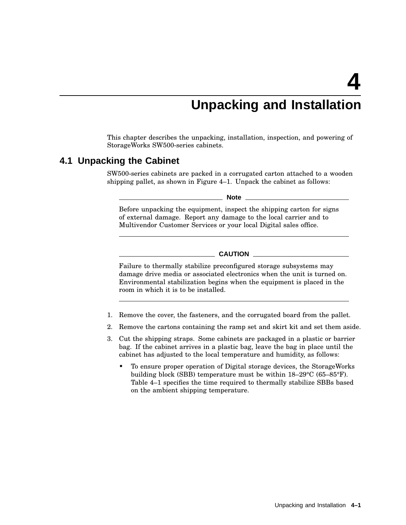# **Unpacking and Installation**

This chapter describes the unpacking, installation, inspection, and powering of StorageWorks SW500-series cabinets.

### **4.1 Unpacking the Cabinet**

SW500-series cabinets are packed in a corrugated carton attached to a wooden shipping pallet, as shown in Figure 4–1. Unpack the cabinet as follows:

**Note**

Before unpacking the equipment, inspect the shipping carton for signs of external damage. Report any damage to the local carrier and to Multivendor Customer Services or your local Digital sales office.

**CAUTION**

Failure to thermally stabilize preconfigured storage subsystems may damage drive media or associated electronics when the unit is turned on. Environmental stabilization begins when the equipment is placed in the room in which it is to be installed.

- 1. Remove the cover, the fasteners, and the corrugated board from the pallet.
- 2. Remove the cartons containing the ramp set and skirt kit and set them aside.
- 3. Cut the shipping straps. Some cabinets are packaged in a plastic or barrier bag. If the cabinet arrives in a plastic bag, leave the bag in place until the cabinet has adjusted to the local temperature and humidity, as follows:
	- To ensure proper operation of Digital storage devices, the StorageWorks building block (SBB) temperature must be within 18–29°C (65–85°F). Table 4–1 specifies the time required to thermally stabilize SBBs based on the ambient shipping temperature.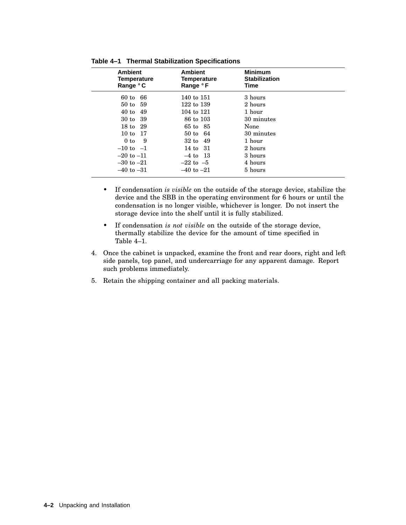| <b>Ambient</b><br><b>Temperature</b><br>Range °C | <b>Ambient</b><br>Temperature<br>Range °F | <b>Minimum</b><br><b>Stabilization</b><br>Time |  |
|--------------------------------------------------|-------------------------------------------|------------------------------------------------|--|
| $60$ to<br>-66                                   | 140 to 151                                | 3 hours                                        |  |
| 50 to 59                                         | 122 to 139                                | 2 hours                                        |  |
| 40 to 49                                         | 104 to 121                                | 1 hour                                         |  |
| 30 to 39                                         | 86 to 103                                 | 30 minutes                                     |  |
| 18 to 29                                         | 65 to 85                                  | None                                           |  |
| 10 to 17                                         | $50 \text{ to } 64$                       | 30 minutes                                     |  |
| 9<br>0 to                                        | 32 to 49                                  | 1 hour                                         |  |
| $-10$ to $-1$                                    | 14 to 31                                  | 2 hours                                        |  |
| $-20$ to $-11$                                   | $-4$ to 13                                | 3 hours                                        |  |
| $-30$ to $-21$                                   | $-22$ to $-5$                             | 4 hours                                        |  |
| $-40$ to $-31$                                   | $-40$ to $-21$                            | 5 hours                                        |  |

**Table 4–1 Thermal Stabilization Specifications**

- If condensation *is visible* on the outside of the storage device, stabilize the device and the SBB in the operating environment for 6 hours or until the condensation is no longer visible, whichever is longer. Do not insert the storage device into the shelf until it is fully stabilized.
- If condensation *is not visible* on the outside of the storage device, thermally stabilize the device for the amount of time specified in Table 4–1.
- 4. Once the cabinet is unpacked, examine the front and rear doors, right and left side panels, top panel, and undercarriage for any apparent damage. Report such problems immediately.
- 5. Retain the shipping container and all packing materials.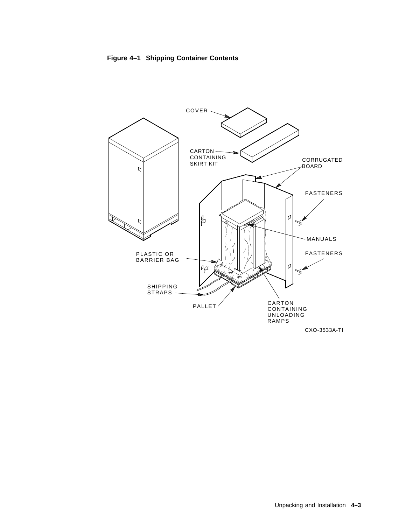



CXO-3533A-TI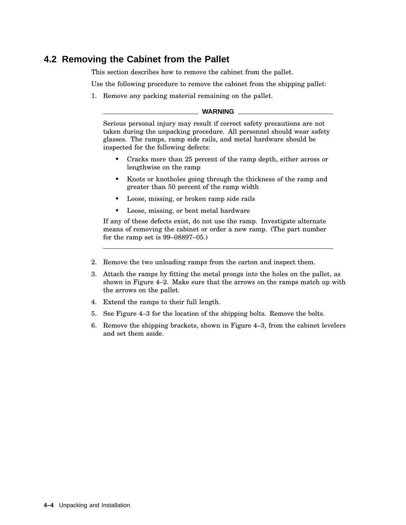## **4.2 Removing the Cabinet from the Pallet**

This section describes how to remove the cabinet from the pallet.

Use the following procedure to remove the cabinet from the shipping pallet:

1. Remove any packing material remaining on the pallet.

#### **WARNING**

Serious personal injury may result if correct safety precautions are not taken during the unpacking procedure. All personnel should wear safety glasses. The ramps, ramp side rails, and metal hardware should be inspected for the following defects:

- Cracks more than 25 percent of the ramp depth, either across or lengthwise on the ramp
- Knots or knotholes going through the thickness of the ramp and greater than 50 percent of the ramp width
- Loose, missing, or broken ramp side rails
- Loose, missing, or bent metal hardware

If any of these defects exist, do not use the ramp. Investigate alternate means of removing the cabinet or order a new ramp. (The part number for the ramp set is 99–08897–05.)

- 2. Remove the two unloading ramps from the carton and inspect them.
- 3. Attach the ramps by fitting the metal prongs into the holes on the pallet, as shown in Figure 4–2. Make sure that the arrows on the ramps match up with the arrows on the pallet.
- 4. Extend the ramps to their full length.
- 5. See Figure 4–3 for the location of the shipping bolts. Remove the bolts.
- 6. Remove the shipping brackets, shown in Figure 4–3, from the cabinet levelers and set them aside.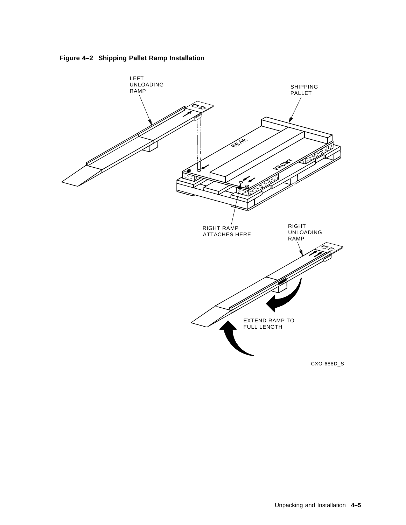

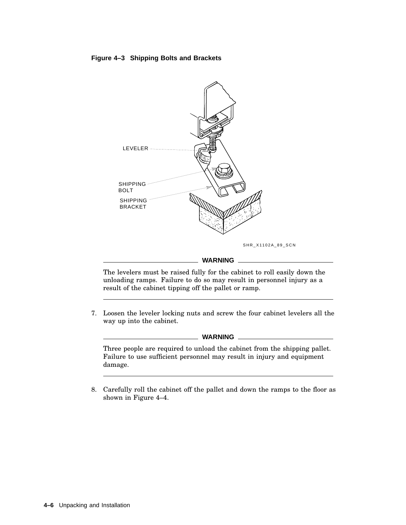#### **Figure 4–3 Shipping Bolts and Brackets**



#### **WARNING**

The levelers must be raised fully for the cabinet to roll easily down the unloading ramps. Failure to do so may result in personnel injury as a result of the cabinet tipping off the pallet or ramp.

7. Loosen the leveler locking nuts and screw the four cabinet levelers all the way up into the cabinet.

**WARNING**

Three people are required to unload the cabinet from the shipping pallet. Failure to use sufficient personnel may result in injury and equipment damage.

8. Carefully roll the cabinet off the pallet and down the ramps to the floor as shown in Figure 4–4.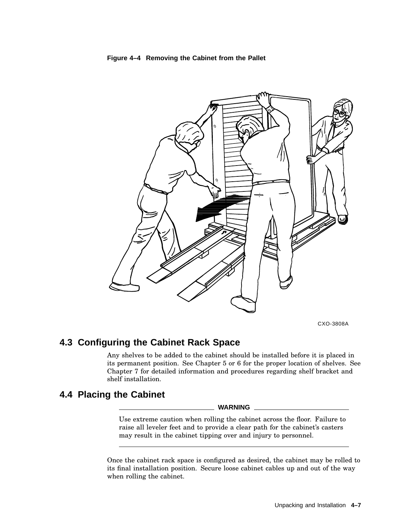



CXO-3808A

# **4.3 Configuring the Cabinet Rack Space**

Any shelves to be added to the cabinet should be installed before it is placed in its permanent position. See Chapter 5 or 6 for the proper location of shelves. See Chapter 7 for detailed information and procedures regarding shelf bracket and shelf installation.

# **4.4 Placing the Cabinet**

#### **WARNING**

Use extreme caution when rolling the cabinet across the floor. Failure to raise all leveler feet and to provide a clear path for the cabinet's casters may result in the cabinet tipping over and injury to personnel.

Once the cabinet rack space is configured as desired, the cabinet may be rolled to its final installation position. Secure loose cabinet cables up and out of the way when rolling the cabinet.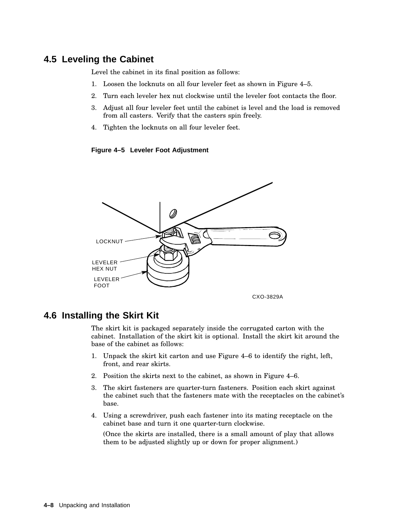# **4.5 Leveling the Cabinet**

Level the cabinet in its final position as follows:

- 1. Loosen the locknuts on all four leveler feet as shown in Figure 4–5.
- 2. Turn each leveler hex nut clockwise until the leveler foot contacts the floor.
- 3. Adjust all four leveler feet until the cabinet is level and the load is removed from all casters. Verify that the casters spin freely.
- 4. Tighten the locknuts on all four leveler feet.

**Figure 4–5 Leveler Foot Adjustment**



# **4.6 Installing the Skirt Kit**

The skirt kit is packaged separately inside the corrugated carton with the cabinet. Installation of the skirt kit is optional. Install the skirt kit around the base of the cabinet as follows:

- 1. Unpack the skirt kit carton and use Figure 4–6 to identify the right, left, front, and rear skirts.
- 2. Position the skirts next to the cabinet, as shown in Figure 4–6.
- 3. The skirt fasteners are quarter-turn fasteners. Position each skirt against the cabinet such that the fasteners mate with the receptacles on the cabinet's base.
- 4. Using a screwdriver, push each fastener into its mating receptacle on the cabinet base and turn it one quarter-turn clockwise.

(Once the skirts are installed, there is a small amount of play that allows them to be adjusted slightly up or down for proper alignment.)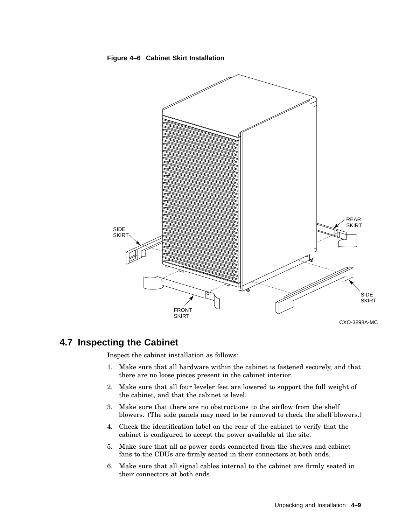

#### **Figure 4–6 Cabinet Skirt Installation**

# **4.7 Inspecting the Cabinet**

Inspect the cabinet installation as follows:

- 1. Make sure that all hardware within the cabinet is fastened securely, and that there are no loose pieces present in the cabinet interior.
- 2. Make sure that all four leveler feet are lowered to support the full weight of the cabinet, and that the cabinet is level.
- 3. Make sure that there are no obstructions to the airflow from the shelf blowers. (The side panels may need to be removed to check the shelf blowers.)
- 4. Check the identification label on the rear of the cabinet to verify that the cabinet is configured to accept the power available at the site.
- 5. Make sure that all ac power cords connected from the shelves and cabinet fans to the CDUs are firmly seated in their connectors at both ends.
- 6. Make sure that all signal cables internal to the cabinet are firmly seated in their connectors at both ends.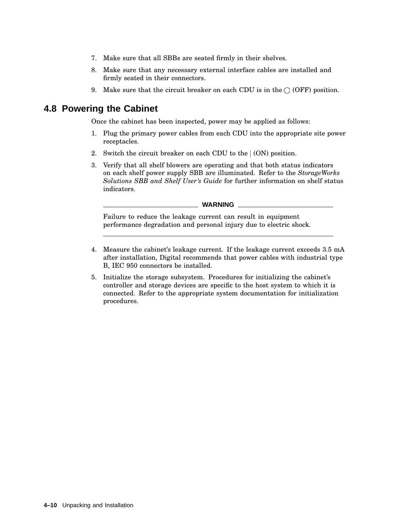- 7. Make sure that all SBBs are seated firmly in their shelves.
- 8. Make sure that any necessary external interface cables are installed and firmly seated in their connectors.
- 9. Make sure that the circuit breaker on each CDU is in the  $\bigcirc$  (OFF) position.

# **4.8 Powering the Cabinet**

Once the cabinet has been inspected, power may be applied as follows:

- 1. Plug the primary power cables from each CDU into the appropriate site power receptacles.
- 2. Switch the circuit breaker on each CDU to the  $(ON)$  position.
- 3. Verify that all shelf blowers are operating and that both status indicators on each shelf power supply SBB are illuminated. Refer to the *StorageWorks Solutions SBB and Shelf User's Guide* for further information on shelf status indicators.

Failure to reduce the leakage current can result in equipment performance degradation and personal injury due to electric shock.

- 4. Measure the cabinet's leakage current. If the leakage current exceeds 3.5 mA after installation, Digital recommends that power cables with industrial type B, IEC 950 connectors be installed.
- 5. Initialize the storage subsystem. Procedures for initializing the cabinet's controller and storage devices are specific to the host system to which it is connected. Refer to the appropriate system documentation for initialization procedures.

**WARNING**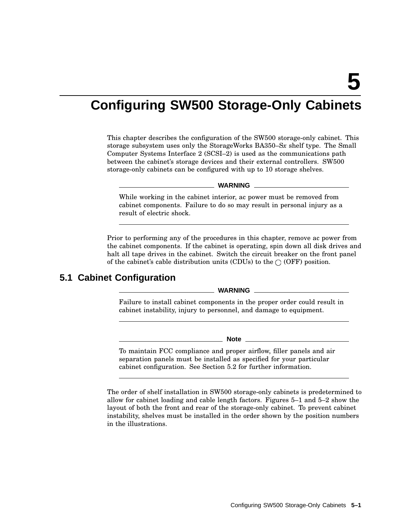# **Configuring SW500 Storage-Only Cabinets**

This chapter describes the configuration of the SW500 storage-only cabinet. This storage subsystem uses only the StorageWorks BA350–S*x* shelf type. The Small Computer Systems Interface 2 (SCSI–2) is used as the communications path between the cabinet's storage devices and their external controllers. SW500 storage-only cabinets can be configured with up to 10 storage shelves.

#### **WARNING**

While working in the cabinet interior, ac power must be removed from cabinet components. Failure to do so may result in personal injury as a result of electric shock.

Prior to performing any of the procedures in this chapter, remove ac power from the cabinet components. If the cabinet is operating, spin down all disk drives and halt all tape drives in the cabinet. Switch the circuit breaker on the front panel of the cabinet's cable distribution units (CDUs) to the  $\bigcirc$  (OFF) position.

# **5.1 Cabinet Configuration**

**WARNING**

Failure to install cabinet components in the proper order could result in cabinet instability, injury to personnel, and damage to equipment.

**Note**

To maintain FCC compliance and proper airflow, filler panels and air separation panels must be installed as specified for your particular cabinet configuration. See Section 5.2 for further information.

The order of shelf installation in SW500 storage-only cabinets is predetermined to allow for cabinet loading and cable length factors. Figures 5–1 and 5–2 show the layout of both the front and rear of the storage-only cabinet. To prevent cabinet instability, shelves must be installed in the order shown by the position numbers in the illustrations.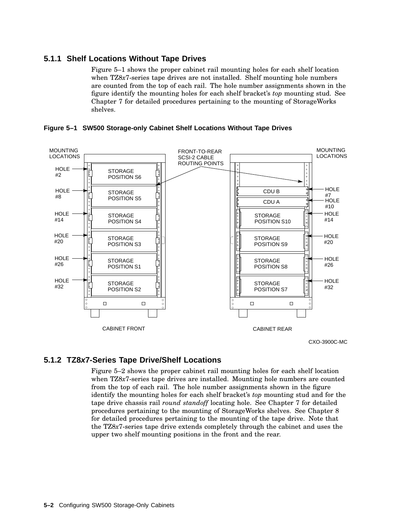### **5.1.1 Shelf Locations Without Tape Drives**

Figure 5–1 shows the proper cabinet rail mounting holes for each shelf location when TZ8*x*7-series tape drives are not installed. Shelf mounting hole numbers are counted from the top of each rail. The hole number assignments shown in the figure identify the mounting holes for each shelf bracket's *top* mounting stud. See Chapter 7 for detailed procedures pertaining to the mounting of StorageWorks shelves.





### **5.1.2 TZ8x7-Series Tape Drive/Shelf Locations**

Figure 5–2 shows the proper cabinet rail mounting holes for each shelf location when TZ8*x*7-series tape drives are installed. Mounting hole numbers are counted from the top of each rail. The hole number assignments shown in the figure identify the mounting holes for each shelf bracket's *top* mounting stud and for the tape drive chassis rail *round standoff* locating hole. See Chapter 7 for detailed procedures pertaining to the mounting of StorageWorks shelves. See Chapter 8 for detailed procedures pertaining to the mounting of the tape drive. Note that the TZ8*x*7-series tape drive extends completely through the cabinet and uses the upper two shelf mounting positions in the front and the rear.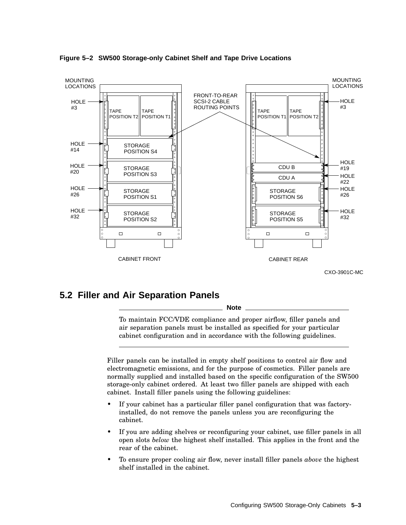

**Figure 5–2 SW500 Storage-only Cabinet Shelf and Tape Drive Locations**

# **5.2 Filler and Air Separation Panels**

**Note**

To maintain FCC/VDE compliance and proper airflow, filler panels and air separation panels must be installed as specified for your particular cabinet configuration and in accordance with the following guidelines.

Filler panels can be installed in empty shelf positions to control air flow and electromagnetic emissions, and for the purpose of cosmetics. Filler panels are normally supplied and installed based on the specific configuration of the SW500 storage-only cabinet ordered. At least two filler panels are shipped with each cabinet. Install filler panels using the following guidelines:

- If your cabinet has a particular filler panel configuration that was factoryinstalled, do not remove the panels unless you are reconfiguring the cabinet.
- If you are adding shelves or reconfiguring your cabinet, use filler panels in all open slots *below* the highest shelf installed. This applies in the front and the rear of the cabinet.
- To ensure proper cooling air flow, never install filler panels *above* the highest shelf installed in the cabinet.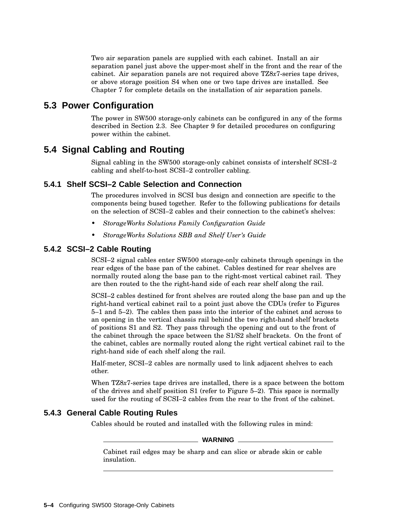Two air separation panels are supplied with each cabinet. Install an air separation panel just above the upper-most shelf in the front and the rear of the cabinet. Air separation panels are not required above TZ8*x*7-series tape drives, or above storage position S4 when one or two tape drives are installed. See Chapter 7 for complete details on the installation of air separation panels.

# **5.3 Power Configuration**

The power in SW500 storage-only cabinets can be configured in any of the forms described in Section 2.3. See Chapter 9 for detailed procedures on configuring power within the cabinet.

# **5.4 Signal Cabling and Routing**

Signal cabling in the SW500 storage-only cabinet consists of intershelf SCSI–2 cabling and shelf-to-host SCSI–2 controller cabling.

## **5.4.1 Shelf SCSI–2 Cable Selection and Connection**

The procedures involved in SCSI bus design and connection are specific to the components being bused together. Refer to the following publications for details on the selection of SCSI–2 cables and their connection to the cabinet's shelves:

- *StorageWorks Solutions Family Configuration Guide*
- *StorageWorks Solutions SBB and Shelf User's Guide*

## **5.4.2 SCSI–2 Cable Routing**

SCSI–2 signal cables enter SW500 storage-only cabinets through openings in the rear edges of the base pan of the cabinet. Cables destined for rear shelves are normally routed along the base pan to the right-most vertical cabinet rail. They are then routed to the the right-hand side of each rear shelf along the rail.

SCSI–2 cables destined for front shelves are routed along the base pan and up the right-hand vertical cabinet rail to a point just above the CDUs (refer to Figures 5–1 and 5–2). The cables then pass into the interior of the cabinet and across to an opening in the vertical chassis rail behind the two right-hand shelf brackets of positions S1 and S2. They pass through the opening and out to the front of the cabinet through the space between the S1/S2 shelf brackets. On the front of the cabinet, cables are normally routed along the right vertical cabinet rail to the right-hand side of each shelf along the rail.

Half-meter, SCSI–2 cables are normally used to link adjacent shelves to each other.

When TZ8*x*7-series tape drives are installed, there is a space between the bottom of the drives and shelf position S1 (refer to Figure 5–2). This space is normally used for the routing of SCSI–2 cables from the rear to the front of the cabinet.

## **5.4.3 General Cable Routing Rules**

Cables should be routed and installed with the following rules in mind:

**WARNING**

Cabinet rail edges may be sharp and can slice or abrade skin or cable insulation.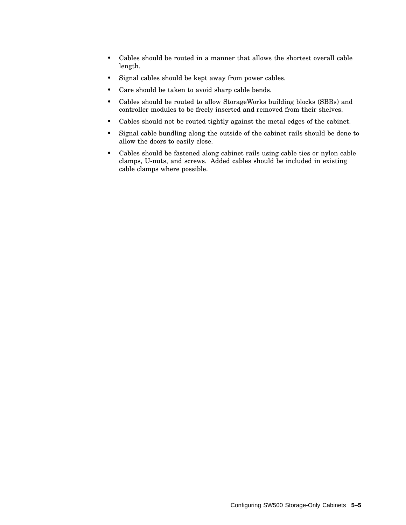- Cables should be routed in a manner that allows the shortest overall cable length.
- Signal cables should be kept away from power cables.
- Care should be taken to avoid sharp cable bends.
- Cables should be routed to allow StorageWorks building blocks (SBBs) and controller modules to be freely inserted and removed from their shelves.
- Cables should not be routed tightly against the metal edges of the cabinet.
- Signal cable bundling along the outside of the cabinet rails should be done to allow the doors to easily close.
- Cables should be fastened along cabinet rails using cable ties or nylon cable clamps, U-nuts, and screws. Added cables should be included in existing cable clamps where possible.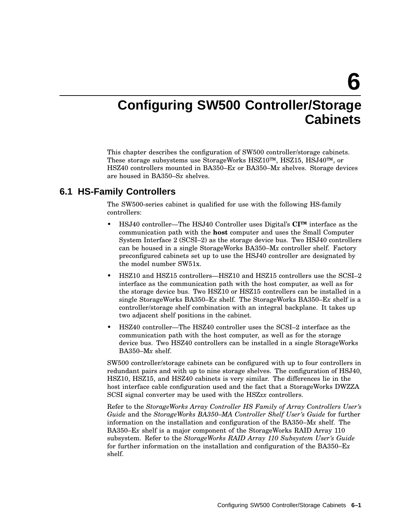**6**

# **Configuring SW500 Controller/Storage Cabinets**

This chapter describes the configuration of SW500 controller/storage cabinets. These storage subsystems use StorageWorks HSZ10™, HSZ15, HSJ40™, or HSZ40 controllers mounted in BA350–E*x* or BA350–M*x* shelves. Storage devices are housed in BA350–S*x* shelves.

# **6.1 HS-Family Controllers**

The SW500-series cabinet is qualified for use with the following HS-family controllers:

- HSJ40 controller—The HSJ40 Controller uses Digital's **CI™** interface as the communication path with the **host** computer and uses the Small Computer System Interface 2 (SCSI–2) as the storage device bus. Two HSJ40 controllers can be housed in a single StorageWorks BA350–M*x* controller shelf. Factory preconfigured cabinets set up to use the HSJ40 controller are designated by the model number SW51x.
- HSZ10 and HSZ15 controllers—HSZ10 and HSZ15 controllers use the SCSI–2 interface as the communication path with the host computer, as well as for the storage device bus. Two HSZ10 or HSZ15 controllers can be installed in a single StorageWorks BA350–E*x* shelf. The StorageWorks BA350–E*x* shelf is a controller/storage shelf combination with an integral backplane. It takes up two adjacent shelf positions in the cabinet.
- HSZ40 controller—The HSZ40 controller uses the SCSI–2 interface as the communication path with the host computer, as well as for the storage device bus. Two HSZ40 controllers can be installed in a single StorageWorks BA350–M*x* shelf.

SW500 controller/storage cabinets can be configured with up to four controllers in redundant pairs and with up to nine storage shelves. The configuration of HSJ40, HSZ10, HSZ15, and HSZ40 cabinets is very similar. The differences lie in the host interface cable configuration used and the fact that a StorageWorks DWZZA SCSI signal converter may be used with the HSZ*xx* controllers.

Refer to the *StorageWorks Array Controller HS Family of Array Controllers User's Guide* and the *StorageWorks BA350–MA Controller Shelf User's Guide* for further information on the installation and configuration of the BA350–M*x* shelf. The BA350–E*x* shelf is a major component of the StorageWorks RAID Array 110 subsystem. Refer to the *StorageWorks RAID Array 110 Subsystem User's Guide* for further information on the installation and configuration of the BA350–E*x* shelf.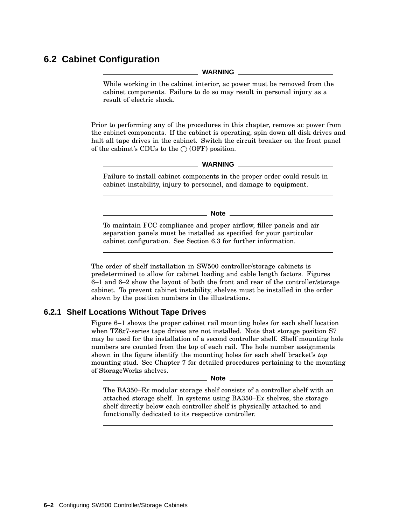# **6.2 Cabinet Configuration**

**WARNING**

While working in the cabinet interior, ac power must be removed from the cabinet components. Failure to do so may result in personal injury as a result of electric shock.

Prior to performing any of the procedures in this chapter, remove ac power from the cabinet components. If the cabinet is operating, spin down all disk drives and halt all tape drives in the cabinet. Switch the circuit breaker on the front panel of the cabinet's CDUs to the  $\bigcirc$  (OFF) position.

**WARNING**

Failure to install cabinet components in the proper order could result in cabinet instability, injury to personnel, and damage to equipment.

**Note**

To maintain FCC compliance and proper airflow, filler panels and air separation panels must be installed as specified for your particular cabinet configuration. See Section 6.3 for further information.

The order of shelf installation in SW500 controller/storage cabinets is predetermined to allow for cabinet loading and cable length factors. Figures 6–1 and 6–2 show the layout of both the front and rear of the controller/storage cabinet. To prevent cabinet instability, shelves must be installed in the order shown by the position numbers in the illustrations.

## **6.2.1 Shelf Locations Without Tape Drives**

Figure 6–1 shows the proper cabinet rail mounting holes for each shelf location when TZ8*x*7-series tape drives are not installed. Note that storage position S7 may be used for the installation of a second controller shelf. Shelf mounting hole numbers are counted from the top of each rail. The hole number assignments shown in the figure identify the mounting holes for each shelf bracket's *top* mounting stud. See Chapter 7 for detailed procedures pertaining to the mounting of StorageWorks shelves.

**Note**

The BA350–E*x* modular storage shelf consists of a controller shelf with an attached storage shelf. In systems using BA350–E*x* shelves, the storage shelf directly below each controller shelf is physically attached to and functionally dedicated to its respective controller.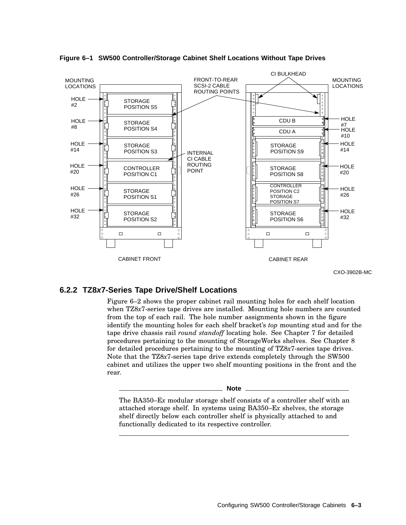

**Figure 6–1 SW500 Controller/Storage Cabinet Shelf Locations Without Tape Drives**

CXO-3902B-MC

#### **6.2.2 TZ8x7-Series Tape Drive/Shelf Locations**

Figure 6–2 shows the proper cabinet rail mounting holes for each shelf location when TZ8*x*7-series tape drives are installed. Mounting hole numbers are counted from the top of each rail. The hole number assignments shown in the figure identify the mounting holes for each shelf bracket's *top* mounting stud and for the tape drive chassis rail *round standoff* locating hole. See Chapter 7 for detailed procedures pertaining to the mounting of StorageWorks shelves. See Chapter 8 for detailed procedures pertaining to the mounting of TZ8*x*7-series tape drives. Note that the TZ8*x*7-series tape drive extends completely through the SW500 cabinet and utilizes the upper two shelf mounting positions in the front and the rear.

**Note**

The BA350–E*x* modular storage shelf consists of a controller shelf with an attached storage shelf. In systems using BA350–E*x* shelves, the storage shelf directly below each controller shelf is physically attached to and functionally dedicated to its respective controller.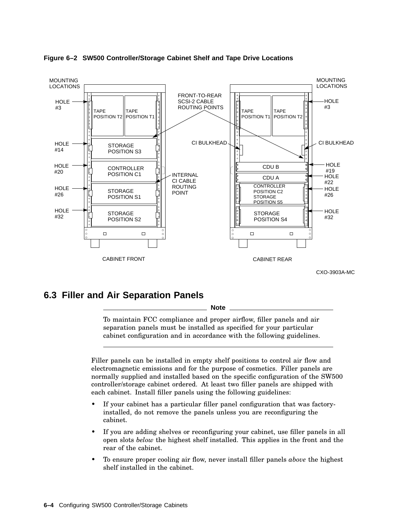

#### **Figure 6–2 SW500 Controller/Storage Cabinet Shelf and Tape Drive Locations**

# **6.3 Filler and Air Separation Panels**

**Note**

To maintain FCC compliance and proper airflow, filler panels and air separation panels must be installed as specified for your particular cabinet configuration and in accordance with the following guidelines.

Filler panels can be installed in empty shelf positions to control air flow and electromagnetic emissions and for the purpose of cosmetics. Filler panels are normally supplied and installed based on the specific configuration of the SW500 controller/storage cabinet ordered. At least two filler panels are shipped with each cabinet. Install filler panels using the following guidelines:

- If your cabinet has a particular filler panel configuration that was factoryinstalled, do not remove the panels unless you are reconfiguring the cabinet.
- If you are adding shelves or reconfiguring your cabinet, use filler panels in all open slots *below* the highest shelf installed. This applies in the front and the rear of the cabinet.
- To ensure proper cooling air flow, never install filler panels *above* the highest shelf installed in the cabinet.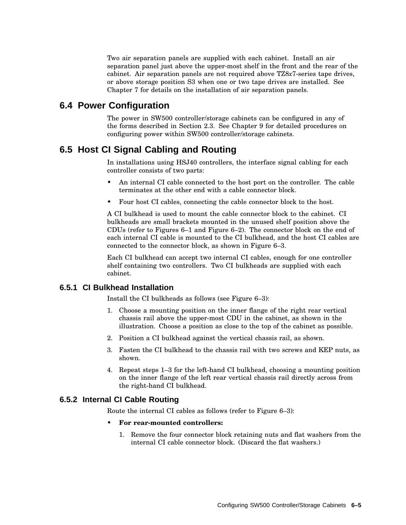Two air separation panels are supplied with each cabinet. Install an air separation panel just above the upper-most shelf in the front and the rear of the cabinet. Air separation panels are not required above TZ8*x*7-series tape drives, or above storage position S3 when one or two tape drives are installed. See Chapter 7 for details on the installation of air separation panels.

## **6.4 Power Configuration**

The power in SW500 controller/storage cabinets can be configured in any of the forms described in Section 2.3. See Chapter 9 for detailed procedures on configuring power within SW500 controller/storage cabinets.

# **6.5 Host CI Signal Cabling and Routing**

In installations using HSJ40 controllers, the interface signal cabling for each controller consists of two parts:

- An internal CI cable connected to the host port on the controller. The cable terminates at the other end with a cable connector block.
- Four host CI cables, connecting the cable connector block to the host.

A CI bulkhead is used to mount the cable connector block to the cabinet. CI bulkheads are small brackets mounted in the unused shelf position above the CDUs (refer to Figures 6–1 and Figure 6–2). The connector block on the end of each internal CI cable is mounted to the CI bulkhead, and the host CI cables are connected to the connector block, as shown in Figure 6–3.

Each CI bulkhead can accept two internal CI cables, enough for one controller shelf containing two controllers. Two CI bulkheads are supplied with each cabinet.

## **6.5.1 CI Bulkhead Installation**

Install the CI bulkheads as follows (see Figure 6–3):

- 1. Choose a mounting position on the inner flange of the right rear vertical chassis rail above the upper-most CDU in the cabinet, as shown in the illustration. Choose a position as close to the top of the cabinet as possible.
- 2. Position a CI bulkhead against the vertical chassis rail, as shown.
- 3. Fasten the CI bulkhead to the chassis rail with two screws and KEP nuts, as shown.
- 4. Repeat steps 1–3 for the left-hand CI bulkhead, choosing a mounting position on the inner flange of the left rear vertical chassis rail directly across from the right-hand CI bulkhead.

#### **6.5.2 Internal CI Cable Routing**

Route the internal CI cables as follows (refer to Figure 6–3):

- **For rear-mounted controllers:**
	- 1. Remove the four connector block retaining nuts and flat washers from the internal CI cable connector block. (Discard the flat washers.)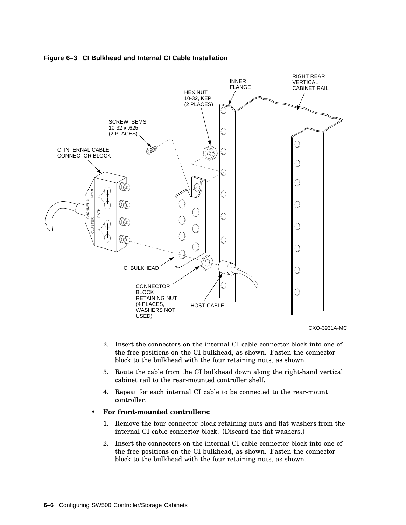

#### **Figure 6–3 CI Bulkhead and Internal CI Cable Installation**

CXO-3931A-MC

- 2. Insert the connectors on the internal CI cable connector block into one of the free positions on the CI bulkhead, as shown. Fasten the connector block to the bulkhead with the four retaining nuts, as shown.
- 3. Route the cable from the CI bulkhead down along the right-hand vertical cabinet rail to the rear-mounted controller shelf.
- 4. Repeat for each internal CI cable to be connected to the rear-mount controller.

#### • **For front-mounted controllers:**

- 1. Remove the four connector block retaining nuts and flat washers from the internal CI cable connector block. (Discard the flat washers.)
- 2. Insert the connectors on the internal CI cable connector block into one of the free positions on the CI bulkhead, as shown. Fasten the connector block to the bulkhead with the four retaining nuts, as shown.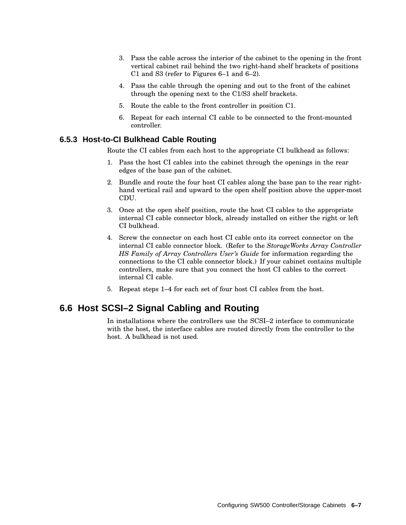- 3. Pass the cable across the interior of the cabinet to the opening in the front vertical cabinet rail behind the two right-hand shelf brackets of positions C1 and S3 (refer to Figures 6–1 and 6–2).
- 4. Pass the cable through the opening and out to the front of the cabinet through the opening next to the C1/S3 shelf brackets.
- 5. Route the cable to the front controller in position C1.
- 6. Repeat for each internal CI cable to be connected to the front-mounted controller.

#### **6.5.3 Host-to-CI Bulkhead Cable Routing**

Route the CI cables from each host to the appropriate CI bulkhead as follows:

- 1. Pass the host CI cables into the cabinet through the openings in the rear edges of the base pan of the cabinet.
- 2. Bundle and route the four host CI cables along the base pan to the rear righthand vertical rail and upward to the open shelf position above the upper-most CDU.
- 3. Once at the open shelf position, route the host CI cables to the appropriate internal CI cable connector block, already installed on either the right or left CI bulkhead.
- 4. Screw the connector on each host CI cable onto its correct connector on the internal CI cable connector block. (Refer to the *StorageWorks Array Controller HS Family of Array Controllers User's Guide* for information regarding the connections to the CI cable connector block.) If your cabinet contains multiple controllers, make sure that you connect the host CI cables to the correct internal CI cable.
- 5. Repeat steps 1–4 for each set of four host CI cables from the host.

## **6.6 Host SCSI–2 Signal Cabling and Routing**

In installations where the controllers use the SCSI–2 interface to communicate with the host, the interface cables are routed directly from the controller to the host. A bulkhead is not used.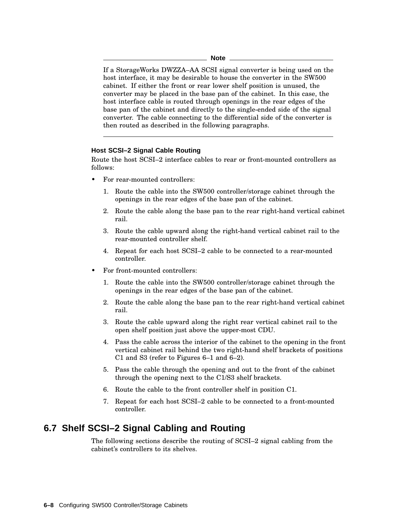If a StorageWorks DWZZA–AA SCSI signal converter is being used on the host interface, it may be desirable to house the converter in the SW500 cabinet. If either the front or rear lower shelf position is unused, the converter may be placed in the base pan of the cabinet. In this case, the host interface cable is routed through openings in the rear edges of the base pan of the cabinet and directly to the single-ended side of the signal converter. The cable connecting to the differential side of the converter is then routed as described in the following paragraphs.

#### **Host SCSI–2 Signal Cable Routing**

Route the host SCSI–2 interface cables to rear or front-mounted controllers as follows:

- For rear-mounted controllers:
	- 1. Route the cable into the SW500 controller/storage cabinet through the openings in the rear edges of the base pan of the cabinet.
	- 2. Route the cable along the base pan to the rear right-hand vertical cabinet rail.
	- 3. Route the cable upward along the right-hand vertical cabinet rail to the rear-mounted controller shelf.
	- 4. Repeat for each host SCSI–2 cable to be connected to a rear-mounted controller.
- For front-mounted controllers:
	- 1. Route the cable into the SW500 controller/storage cabinet through the openings in the rear edges of the base pan of the cabinet.
	- 2. Route the cable along the base pan to the rear right-hand vertical cabinet rail.
	- 3. Route the cable upward along the right rear vertical cabinet rail to the open shelf position just above the upper-most CDU.
	- 4. Pass the cable across the interior of the cabinet to the opening in the front vertical cabinet rail behind the two right-hand shelf brackets of positions C1 and S3 (refer to Figures 6–1 and 6–2).
	- 5. Pass the cable through the opening and out to the front of the cabinet through the opening next to the C1/S3 shelf brackets.
	- 6. Route the cable to the front controller shelf in position C1.
	- 7. Repeat for each host SCSI–2 cable to be connected to a front-mounted controller.

## **6.7 Shelf SCSI–2 Signal Cabling and Routing**

The following sections describe the routing of SCSI–2 signal cabling from the cabinet's controllers to its shelves.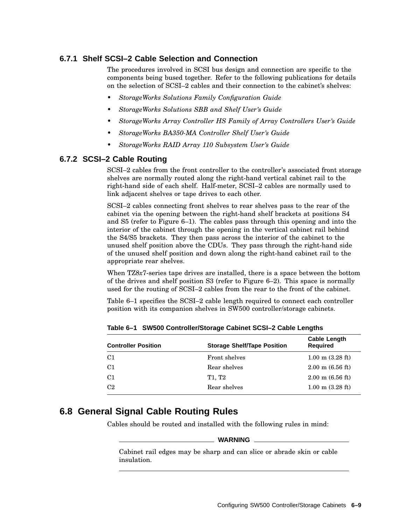## **6.7.1 Shelf SCSI–2 Cable Selection and Connection**

The procedures involved in SCSI bus design and connection are specific to the components being bused together. Refer to the following publications for details on the selection of SCSI–2 cables and their connection to the cabinet's shelves:

- *StorageWorks Solutions Family Configuration Guide*
- *StorageWorks Solutions SBB and Shelf User's Guide*
- *StorageWorks Array Controller HS Family of Array Controllers User's Guide*
- *StorageWorks BA350-MA Controller Shelf User's Guide*
- *StorageWorks RAID Array 110 Subsystem User's Guide*

#### **6.7.2 SCSI–2 Cable Routing**

SCSI–2 cables from the front controller to the controller's associated front storage shelves are normally routed along the right-hand vertical cabinet rail to the right-hand side of each shelf. Half-meter, SCSI–2 cables are normally used to link adjacent shelves or tape drives to each other.

SCSI–2 cables connecting front shelves to rear shelves pass to the rear of the cabinet via the opening between the right-hand shelf brackets at positions S4 and S5 (refer to Figure 6–1). The cables pass through this opening and into the interior of the cabinet through the opening in the vertical cabinet rail behind the S4/S5 brackets. They then pass across the interior of the cabinet to the unused shelf position above the CDUs. They pass through the right-hand side of the unused shelf position and down along the right-hand cabinet rail to the appropriate rear shelves.

When TZ8*x*7-series tape drives are installed, there is a space between the bottom of the drives and shelf position S3 (refer to Figure 6–2). This space is normally used for the routing of SCSI–2 cables from the rear to the front of the cabinet.

Table 6–1 specifies the SCSI–2 cable length required to connect each controller position with its companion shelves in SW500 controller/storage cabinets.

| <b>Controller Position</b> | <b>Storage Shelf/Tape Position</b> | <b>Cable Length</b><br><b>Required</b> |
|----------------------------|------------------------------------|----------------------------------------|
| C <sub>1</sub>             | Front shelves                      | $1.00 \text{ m}$ (3.28 ft)             |
| C <sub>1</sub>             | Rear shelves                       | $2.00 \text{ m}$ (6.56 ft)             |
| C <sub>1</sub>             | T1. T2                             | $2.00 \text{ m}$ (6.56 ft)             |
| C2                         | Rear shelves                       | $1.00 \text{ m}$ (3.28 ft)             |
|                            |                                    |                                        |

**Table 6–1 SW500 Controller/Storage Cabinet SCSI–2 Cable Lengths**

# **6.8 General Signal Cable Routing Rules**

Cables should be routed and installed with the following rules in mind:

#### **WARNING**

Cabinet rail edges may be sharp and can slice or abrade skin or cable insulation.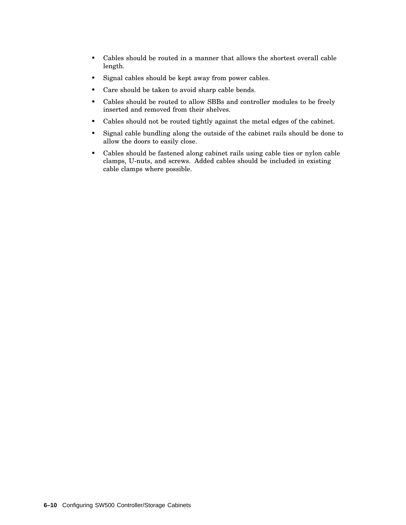- Cables should be routed in a manner that allows the shortest overall cable length.
- Signal cables should be kept away from power cables.
- Care should be taken to avoid sharp cable bends.
- Cables should be routed to allow SBBs and controller modules to be freely inserted and removed from their shelves.
- Cables should not be routed tightly against the metal edges of the cabinet.
- Signal cable bundling along the outside of the cabinet rails should be done to allow the doors to easily close.
- Cables should be fastened along cabinet rails using cable ties or nylon cable clamps, U-nuts, and screws. Added cables should be included in existing cable clamps where possible.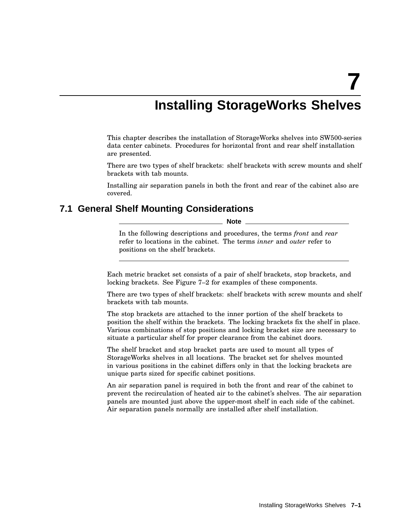**7**

# **Installing StorageWorks Shelves**

This chapter describes the installation of StorageWorks shelves into SW500-series data center cabinets. Procedures for horizontal front and rear shelf installation are presented.

There are two types of shelf brackets: shelf brackets with screw mounts and shelf brackets with tab mounts.

Installing air separation panels in both the front and rear of the cabinet also are covered.

## **7.1 General Shelf Mounting Considerations**

**Note**

In the following descriptions and procedures, the terms *front* and *rear* refer to locations in the cabinet. The terms *inner* and *outer* refer to positions on the shelf brackets.

Each metric bracket set consists of a pair of shelf brackets, stop brackets, and locking brackets. See Figure 7–2 for examples of these components.

There are two types of shelf brackets: shelf brackets with screw mounts and shelf brackets with tab mounts.

The stop brackets are attached to the inner portion of the shelf brackets to position the shelf within the brackets. The locking brackets fix the shelf in place. Various combinations of stop positions and locking bracket size are necessary to situate a particular shelf for proper clearance from the cabinet doors.

The shelf bracket and stop bracket parts are used to mount all types of StorageWorks shelves in all locations. The bracket set for shelves mounted in various positions in the cabinet differs only in that the locking brackets are unique parts sized for specific cabinet positions.

An air separation panel is required in both the front and rear of the cabinet to prevent the recirculation of heated air to the cabinet's shelves. The air separation panels are mounted just above the upper-most shelf in each side of the cabinet. Air separation panels normally are installed after shelf installation.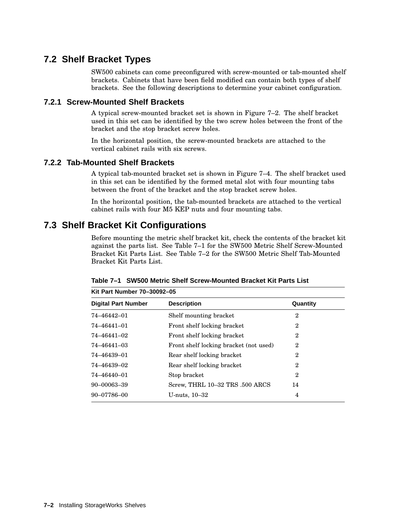# **7.2 Shelf Bracket Types**

SW500 cabinets can come preconfigured with screw-mounted or tab-mounted shelf brackets. Cabinets that have been field modified can contain both types of shelf brackets. See the following descriptions to determine your cabinet configuration.

## **7.2.1 Screw-Mounted Shelf Brackets**

A typical screw-mounted bracket set is shown in Figure 7–2. The shelf bracket used in this set can be identified by the two screw holes between the front of the bracket and the stop bracket screw holes.

In the horizontal position, the screw-mounted brackets are attached to the vertical cabinet rails with six screws.

#### **7.2.2 Tab-Mounted Shelf Brackets**

A typical tab-mounted bracket set is shown in Figure 7–4. The shelf bracket used in this set can be identified by the formed metal slot with four mounting tabs between the front of the bracket and the stop bracket screw holes.

In the horizontal position, the tab-mounted brackets are attached to the vertical cabinet rails with four M5 KEP nuts and four mounting tabs.

# **7.3 Shelf Bracket Kit Configurations**

Before mounting the metric shelf bracket kit, check the contents of the bracket kit against the parts list. See Table 7–1 for the SW500 Metric Shelf Screw-Mounted Bracket Kit Parts List. See Table 7–2 for the SW500 Metric Shelf Tab-Mounted Bracket Kit Parts List.

| Kit Part Number 70-30092-05 |                                        |                |
|-----------------------------|----------------------------------------|----------------|
| <b>Digital Part Number</b>  | <b>Description</b>                     | Quantity       |
| 74-46442-01                 | Shelf mounting bracket                 | $\overline{2}$ |
| 74-46441-01                 | Front shelf locking bracket            | $\overline{2}$ |
| 74–46441–02                 | Front shelf locking bracket            | $\overline{2}$ |
| 74-46441-03                 | Front shelf locking bracket (not used) | $\overline{2}$ |
| 74–46439–01                 | Rear shelf locking bracket             | $\overline{2}$ |
| 74–46439–02                 | Rear shelf locking bracket             | $\overline{2}$ |
| 74-46440-01                 | Stop bracket                           | $\overline{2}$ |
| $90 - 00063 - 39$           | Screw, THRL 10-32 TRS .500 ARCS        | 14             |
| $90 - 07786 - 00$           | U-nuts, $10-32$                        | 4              |

**Table 7–1 SW500 Metric Shelf Screw-Mounted Bracket Kit Parts List**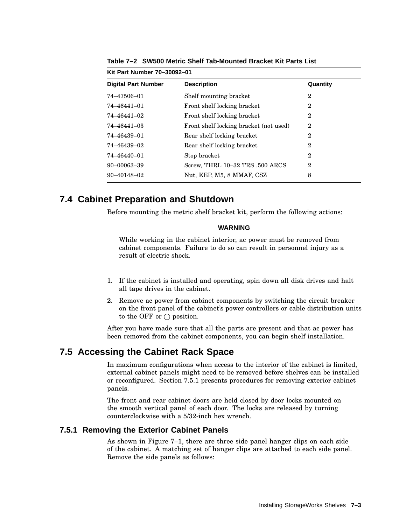| Kit Part Number 70-30092-01 |                                        |                |
|-----------------------------|----------------------------------------|----------------|
| <b>Digital Part Number</b>  | <b>Description</b>                     | Quantity       |
| 74-47506-01                 | Shelf mounting bracket                 | 2              |
| 74-46441-01                 | Front shelf locking bracket            | $\overline{2}$ |
| 74–46441–02                 | Front shelf locking bracket            | $\mathbf 2$    |
| 74–46441–03                 | Front shelf locking bracket (not used) | $\mathbf 2$    |
| 74–46439–01                 | Rear shelf locking bracket             | 2              |
| 74–46439–02                 | Rear shelf locking bracket             | 2              |
| 74-46440-01                 | Stop bracket                           | $\overline{2}$ |
| $90 - 00063 - 39$           | Screw, THRL 10-32 TRS .500 ARCS        | 2              |
| $90 - 40148 - 02$           | Nut, KEP, M5, 8 MMAF, CSZ              | 8              |

**Table 7–2 SW500 Metric Shelf Tab-Mounted Bracket Kit Parts List**

## **7.4 Cabinet Preparation and Shutdown**

Before mounting the metric shelf bracket kit, perform the following actions:

#### **WARNING**

While working in the cabinet interior, ac power must be removed from cabinet components. Failure to do so can result in personnel injury as a result of electric shock.

- 1. If the cabinet is installed and operating, spin down all disk drives and halt all tape drives in the cabinet.
- 2. Remove ac power from cabinet components by switching the circuit breaker on the front panel of the cabinet's power controllers or cable distribution units to the OFF or  $\bigcirc$  position.

After you have made sure that all the parts are present and that ac power has been removed from the cabinet components, you can begin shelf installation.

# **7.5 Accessing the Cabinet Rack Space**

In maximum configurations when access to the interior of the cabinet is limited, external cabinet panels might need to be removed before shelves can be installed or reconfigured. Section 7.5.1 presents procedures for removing exterior cabinet panels.

The front and rear cabinet doors are held closed by door locks mounted on the smooth vertical panel of each door. The locks are released by turning counterclockwise with a 5/32-inch hex wrench.

#### **7.5.1 Removing the Exterior Cabinet Panels**

As shown in Figure 7–1, there are three side panel hanger clips on each side of the cabinet. A matching set of hanger clips are attached to each side panel. Remove the side panels as follows: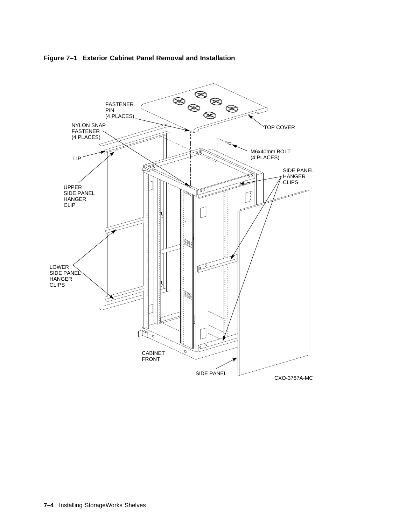

**Figure 7–1 Exterior Cabinet Panel Removal and Installation**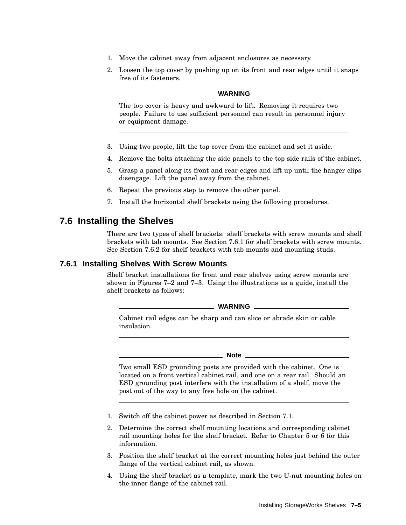- 1. Move the cabinet away from adjacent enclosures as necessary.
- 2. Loosen the top cover by pushing up on its front and rear edges until it snaps free of its fasteners.

#### **WARNING**

The top cover is heavy and awkward to lift. Removing it requires two people. Failure to use sufficient personnel can result in personnel injury or equipment damage.

- 3. Using two people, lift the top cover from the cabinet and set it aside.
- 4. Remove the bolts attaching the side panels to the top side rails of the cabinet.
- 5. Grasp a panel along its front and rear edges and lift up until the hanger clips disengage. Lift the panel away from the cabinet.
- 6. Repeat the previous step to remove the other panel.
- 7. Install the horizontal shelf brackets using the following procedures.

## **7.6 Installing the Shelves**

There are two types of shelf brackets: shelf brackets with screw mounts and shelf brackets with tab mounts. See Section 7.6.1 for shelf brackets with screw mounts. See Section 7.6.2 for shelf brackets with tab mounts and mounting studs.

### **7.6.1 Installing Shelves With Screw Mounts**

Shelf bracket installations for front and rear shelves using screw mounts are shown in Figures 7–2 and 7–3. Using the illustrations as a guide, install the shelf brackets as follows:

**WARNING**

Cabinet rail edges can be sharp and can slice or abrade skin or cable insulation.

**Note**

Two small ESD grounding posts are provided with the cabinet. One is located on a front vertical cabinet rail, and one on a rear rail. Should an ESD grounding post interfere with the installation of a shelf, move the post out of the way to any free hole on the cabinet.

- 1. Switch off the cabinet power as described in Section 7.1.
- 2. Determine the correct shelf mounting locations and corresponding cabinet rail mounting holes for the shelf bracket. Refer to Chapter 5 or 6 for this information.
- 3. Position the shelf bracket at the correct mounting holes just behind the outer flange of the vertical cabinet rail, as shown.
- 4. Using the shelf bracket as a template, mark the two U-nut mounting holes on the inner flange of the cabinet rail.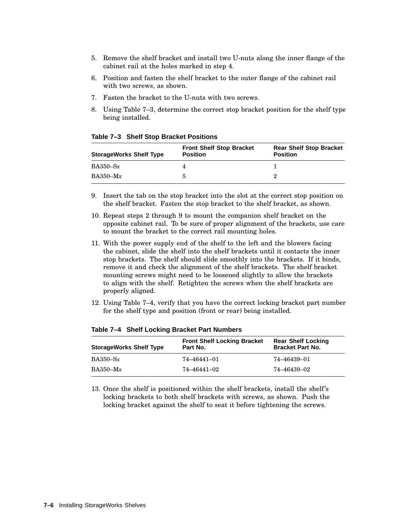- 5. Remove the shelf bracket and install two U-nuts along the inner flange of the cabinet rail at the holes marked in step 4.
- 6. Position and fasten the shelf bracket to the outer flange of the cabinet rail with two screws, as shown.
- 7. Fasten the bracket to the U-nuts with two screws.
- 8. Using Table 7–3, determine the correct stop bracket position for the shelf type being installed.

**StorageWorks Shelf Type Front Shelf Stop Bracket Position Rear Shelf Stop Bracket Position** BA350–Sx 4 1 BA350–M*x* 5 2

**Table 7–3 Shelf Stop Bracket Positions**

- 9. Insert the tab on the stop bracket into the slot at the correct stop position on the shelf bracket. Fasten the stop bracket to the shelf bracket, as shown.
- 10. Repeat steps 2 through 9 to mount the companion shelf bracket on the opposite cabinet rail. To be sure of proper alignment of the brackets, use care to mount the bracket to the correct rail mounting holes.
- 11. With the power supply end of the shelf to the left and the blowers facing the cabinet, slide the shelf into the shelf brackets until it contacts the inner stop brackets. The shelf should slide smoothly into the brackets. If it binds, remove it and check the alignment of the shelf brackets. The shelf bracket mounting screws might need to be loosened slightly to allow the brackets to align with the shelf. Retighten the screws when the shelf brackets are properly aligned.
- 12. Using Table 7–4, verify that you have the correct locking bracket part number for the shelf type and position (front or rear) being installed.

| <b>StorageWorks Shelf Type</b> | <b>Front Shelf Locking Bracket</b><br>Part No. | <b>Rear Shelf Locking</b><br><b>Bracket Part No.</b> |
|--------------------------------|------------------------------------------------|------------------------------------------------------|
| $BA350-Sx$                     | $74 - 46441 - 01$                              | 74–46439–01                                          |
| $BA350-Mx$                     | 74–46441–02                                    | 74–46439–02                                          |

**Table 7–4 Shelf Locking Bracket Part Numbers**

13. Once the shelf is positioned within the shelf brackets, install the shelf's locking brackets to both shelf brackets with screws, as shown. Push the locking bracket against the shelf to seat it before tightening the screws.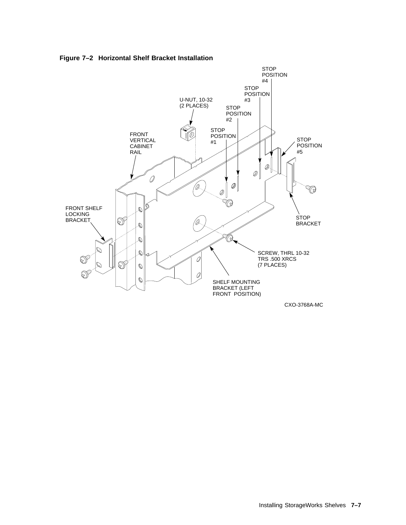

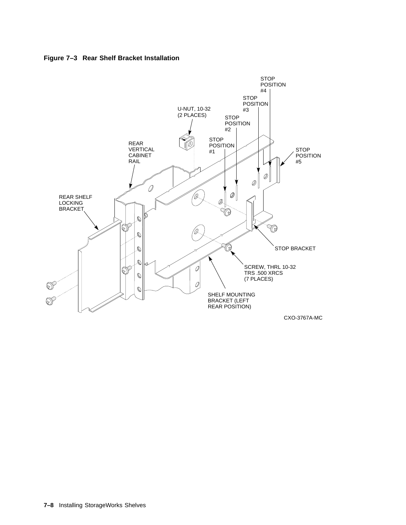

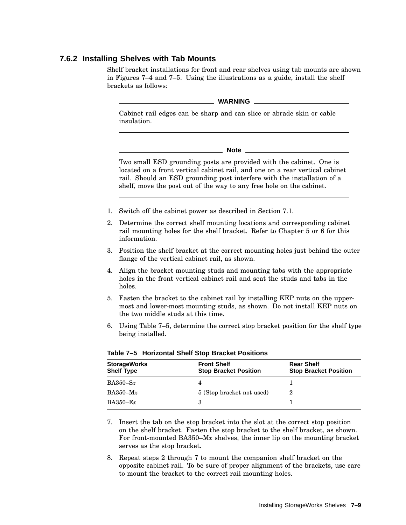### **7.6.2 Installing Shelves with Tab Mounts**

Shelf bracket installations for front and rear shelves using tab mounts are shown in Figures 7–4 and 7–5. Using the illustrations as a guide, install the shelf brackets as follows:

#### **WARNING**

Cabinet rail edges can be sharp and can slice or abrade skin or cable insulation.

**Note**

Two small ESD grounding posts are provided with the cabinet. One is located on a front vertical cabinet rail, and one on a rear vertical cabinet rail. Should an ESD grounding post interfere with the installation of a shelf, move the post out of the way to any free hole on the cabinet.

- 1. Switch off the cabinet power as described in Section 7.1.
- 2. Determine the correct shelf mounting locations and corresponding cabinet rail mounting holes for the shelf bracket. Refer to Chapter 5 or 6 for this information.
- 3. Position the shelf bracket at the correct mounting holes just behind the outer flange of the vertical cabinet rail, as shown.
- 4. Align the bracket mounting studs and mounting tabs with the appropriate holes in the front vertical cabinet rail and seat the studs and tabs in the holes.
- 5. Fasten the bracket to the cabinet rail by installing KEP nuts on the uppermost and lower-most mounting studs, as shown. Do not install KEP nuts on the two middle studs at this time.
- 6. Using Table 7–5, determine the correct stop bracket position for the shelf type being installed.

| <b>StorageWorks</b><br><b>Shelf Type</b> | <b>Front Shelf</b><br><b>Stop Bracket Position</b> | <b>Rear Shelf</b><br><b>Stop Bracket Position</b> |
|------------------------------------------|----------------------------------------------------|---------------------------------------------------|
| $BA350-Sx$                               |                                                    |                                                   |
| $BA350-Mx$                               | 5 (Stop bracket not used)                          |                                                   |
| $BA350 - Ex$                             | З                                                  |                                                   |

#### **Table 7–5 Horizontal Shelf Stop Bracket Positions**

- 7. Insert the tab on the stop bracket into the slot at the correct stop position on the shelf bracket. Fasten the stop bracket to the shelf bracket, as shown. For front-mounted BA350–M*x* shelves, the inner lip on the mounting bracket serves as the stop bracket.
- 8. Repeat steps 2 through 7 to mount the companion shelf bracket on the opposite cabinet rail. To be sure of proper alignment of the brackets, use care to mount the bracket to the correct rail mounting holes.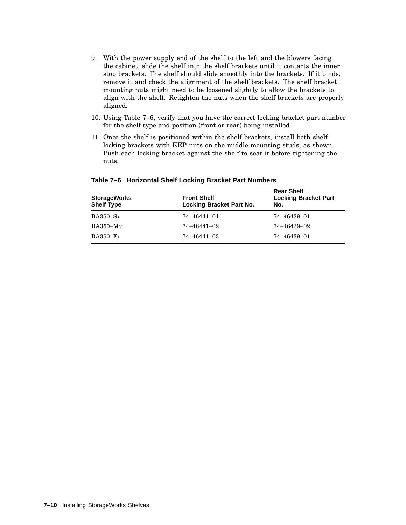- 9. With the power supply end of the shelf to the left and the blowers facing the cabinet, slide the shelf into the shelf brackets until it contacts the inner stop brackets. The shelf should slide smoothly into the brackets. If it binds, remove it and check the alignment of the shelf brackets. The shelf bracket mounting nuts might need to be loosened slightly to allow the brackets to align with the shelf. Retighten the nuts when the shelf brackets are properly aligned.
- 10. Using Table 7–6, verify that you have the correct locking bracket part number for the shelf type and position (front or rear) being installed.
- 11. Once the shelf is positioned within the shelf brackets, install both shelf locking brackets with KEP nuts on the middle mounting studs, as shown. Push each locking bracket against the shelf to seat it before tightening the nuts.

| <b>StorageWorks</b><br><b>Shelf Type</b> | <b>Front Shelf</b><br>Locking Bracket Part No. | <b>Rear Shelf</b><br><b>Locking Bracket Part</b><br>No. |
|------------------------------------------|------------------------------------------------|---------------------------------------------------------|
| $BA350-Sx$                               | 74–46441–01                                    | 74–46439–01                                             |
| $BA350-Mx$                               | 74–46441–02                                    | 74–46439–02                                             |
| $BA350-Ex$                               | 74-46441-03                                    | 74–46439–01                                             |

#### **Table 7–6 Horizontal Shelf Locking Bracket Part Numbers**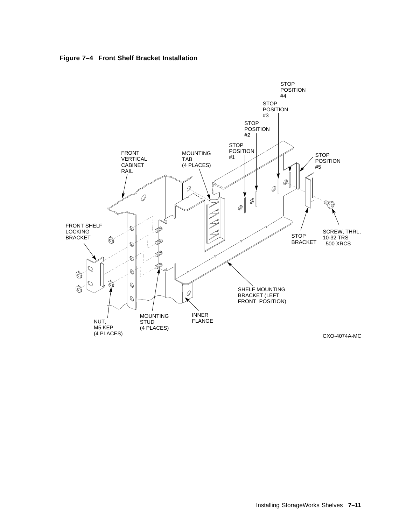**Figure 7–4 Front Shelf Bracket Installation**

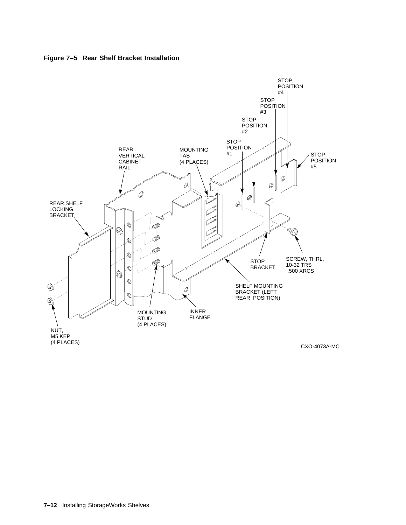



**7–12** Installing StorageWorks Shelves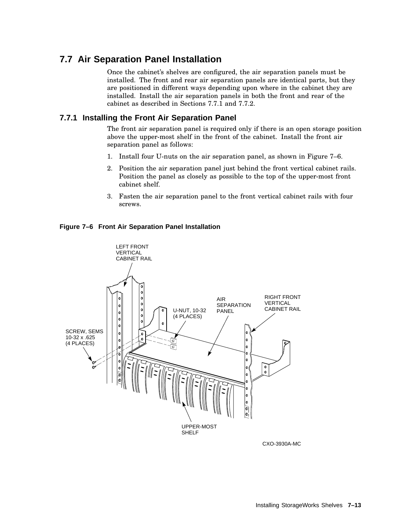# **7.7 Air Separation Panel Installation**

Once the cabinet's shelves are configured, the air separation panels must be installed. The front and rear air separation panels are identical parts, but they are positioned in different ways depending upon where in the cabinet they are installed. Install the air separation panels in both the front and rear of the cabinet as described in Sections 7.7.1 and 7.7.2.

## **7.7.1 Installing the Front Air Separation Panel**

The front air separation panel is required only if there is an open storage position above the upper-most shelf in the front of the cabinet. Install the front air separation panel as follows:

- 1. Install four U-nuts on the air separation panel, as shown in Figure 7–6.
- 2. Position the air separation panel just behind the front vertical cabinet rails. Position the panel as closely as possible to the top of the upper-most front cabinet shelf.
- 3. Fasten the air separation panel to the front vertical cabinet rails with four screws.





CXO-3930A-MC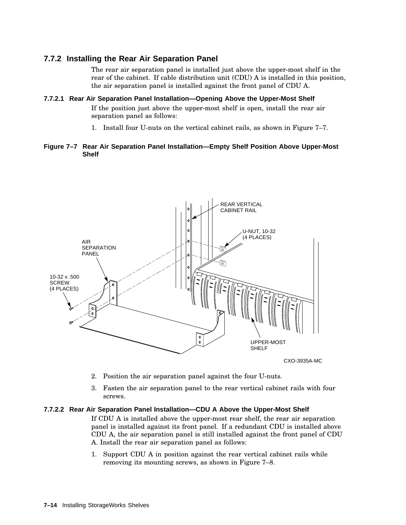## **7.7.2 Installing the Rear Air Separation Panel**

The rear air separation panel is installed just above the upper-most shelf in the rear of the cabinet. If cable distribution unit (CDU) A is installed in this position, the air separation panel is installed against the front panel of CDU A.

**7.7.2.1 Rear Air Separation Panel Installation—Opening Above the Upper-Most Shelf** If the position just above the upper-most shelf is open, install the rear air separation panel as follows:

1. Install four U-nuts on the vertical cabinet rails, as shown in Figure 7–7.

#### **Figure 7–7 Rear Air Separation Panel Installation—Empty Shelf Position Above Upper-Most Shelf**



- 2. Position the air separation panel against the four U-nuts.
- 3. Fasten the air separation panel to the rear vertical cabinet rails with four screws.

#### **7.7.2.2 Rear Air Separation Panel Installation—CDU A Above the Upper-Most Shelf**

If CDU A is installed above the upper-most rear shelf, the rear air separation panel is installed against its front panel. If a redundant CDU is installed above CDU A, the air separation panel is still installed against the front panel of CDU A. Install the rear air separation panel as follows:

1. Support CDU A in position against the rear vertical cabinet rails while removing its mounting screws, as shown in Figure 7–8.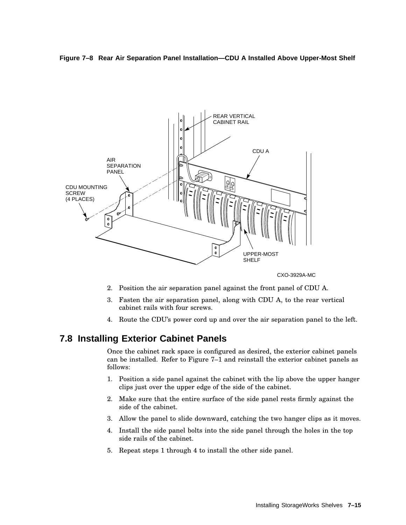



CXO-3929A-MC

- 2. Position the air separation panel against the front panel of CDU A.
- 3. Fasten the air separation panel, along with CDU A, to the rear vertical cabinet rails with four screws.
- 4. Route the CDU's power cord up and over the air separation panel to the left.

## **7.8 Installing Exterior Cabinet Panels**

Once the cabinet rack space is configured as desired, the exterior cabinet panels can be installed. Refer to Figure 7–1 and reinstall the exterior cabinet panels as follows:

- 1. Position a side panel against the cabinet with the lip above the upper hanger clips just over the upper edge of the side of the cabinet.
- 2. Make sure that the entire surface of the side panel rests firmly against the side of the cabinet.
- 3. Allow the panel to slide downward, catching the two hanger clips as it moves.
- 4. Install the side panel bolts into the side panel through the holes in the top side rails of the cabinet.
- 5. Repeat steps 1 through 4 to install the other side panel.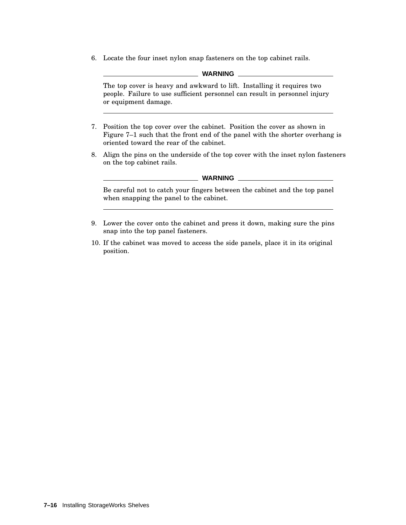6. Locate the four inset nylon snap fasteners on the top cabinet rails.

#### **WARNING**

The top cover is heavy and awkward to lift. Installing it requires two people. Failure to use sufficient personnel can result in personnel injury or equipment damage.

- 7. Position the top cover over the cabinet. Position the cover as shown in Figure 7–1 such that the front end of the panel with the shorter overhang is oriented toward the rear of the cabinet.
- 8. Align the pins on the underside of the top cover with the inset nylon fasteners on the top cabinet rails.

#### **WARNING**

Be careful not to catch your fingers between the cabinet and the top panel when snapping the panel to the cabinet.

- 9. Lower the cover onto the cabinet and press it down, making sure the pins snap into the top panel fasteners.
- 10. If the cabinet was moved to access the side panels, place it in its original position.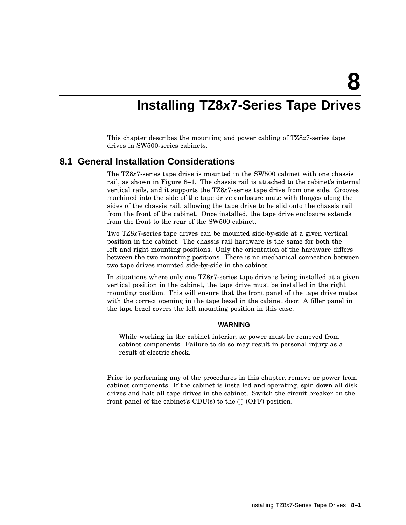**8**

# **Installing TZ8x7-Series Tape Drives**

This chapter describes the mounting and power cabling of TZ8*x*7-series tape drives in SW500-series cabinets.

## **8.1 General Installation Considerations**

The TZ8*x*7-series tape drive is mounted in the SW500 cabinet with one chassis rail, as shown in Figure 8–1. The chassis rail is attached to the cabinet's internal vertical rails, and it supports the TZ8*x*7-series tape drive from one side. Grooves machined into the side of the tape drive enclosure mate with flanges along the sides of the chassis rail, allowing the tape drive to be slid onto the chassis rail from the front of the cabinet. Once installed, the tape drive enclosure extends from the front to the rear of the SW500 cabinet.

Two TZ8*x*7-series tape drives can be mounted side-by-side at a given vertical position in the cabinet. The chassis rail hardware is the same for both the left and right mounting positions. Only the orientation of the hardware differs between the two mounting positions. There is no mechanical connection between two tape drives mounted side-by-side in the cabinet.

In situations where only one TZ8*x*7-series tape drive is being installed at a given vertical position in the cabinet, the tape drive must be installed in the right mounting position. This will ensure that the front panel of the tape drive mates with the correct opening in the tape bezel in the cabinet door. A filler panel in the tape bezel covers the left mounting position in this case.

#### **WARNING**

While working in the cabinet interior, ac power must be removed from cabinet components. Failure to do so may result in personal injury as a result of electric shock.

Prior to performing any of the procedures in this chapter, remove ac power from cabinet components. If the cabinet is installed and operating, spin down all disk drives and halt all tape drives in the cabinet. Switch the circuit breaker on the front panel of the cabinet's CDU(s) to the  $\bigcirc$  (OFF) position.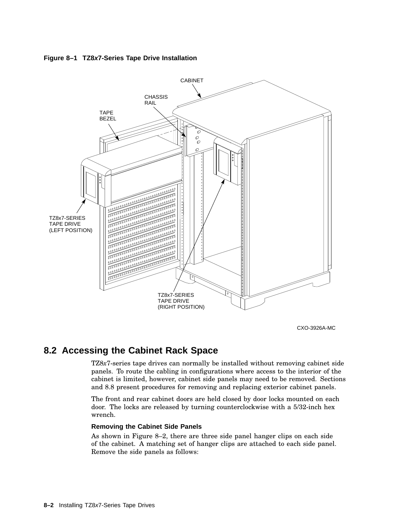



CXO-3926A-MC

## **8.2 Accessing the Cabinet Rack Space**

TZ8*x*7-series tape drives can normally be installed without removing cabinet side panels. To route the cabling in configurations where access to the interior of the cabinet is limited, however, cabinet side panels may need to be removed. Sections and 8.8 present procedures for removing and replacing exterior cabinet panels.

The front and rear cabinet doors are held closed by door locks mounted on each door. The locks are released by turning counterclockwise with a 5/32-inch hex wrench.

### **Removing the Cabinet Side Panels**

As shown in Figure 8–2, there are three side panel hanger clips on each side of the cabinet. A matching set of hanger clips are attached to each side panel. Remove the side panels as follows: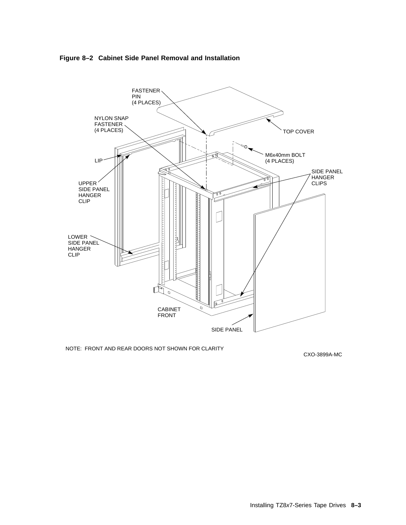



NOTE: FRONT AND REAR DOORS NOT SHOWN FOR CLARITY

CXO-3899A-MC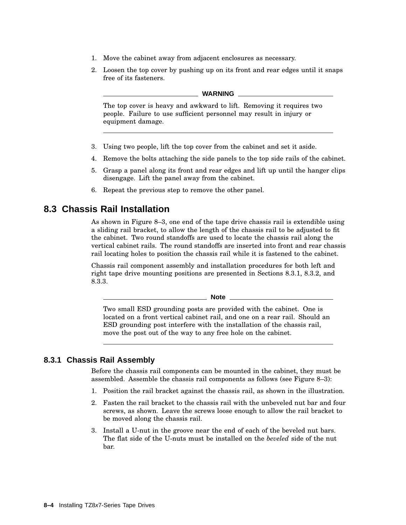- 1. Move the cabinet away from adjacent enclosures as necessary.
- 2. Loosen the top cover by pushing up on its front and rear edges until it snaps free of its fasteners.

#### **WARNING**

The top cover is heavy and awkward to lift. Removing it requires two people. Failure to use sufficient personnel may result in injury or equipment damage.

- 3. Using two people, lift the top cover from the cabinet and set it aside.
- 4. Remove the bolts attaching the side panels to the top side rails of the cabinet.
- 5. Grasp a panel along its front and rear edges and lift up until the hanger clips disengage. Lift the panel away from the cabinet.
- 6. Repeat the previous step to remove the other panel.

## **8.3 Chassis Rail Installation**

As shown in Figure 8–3, one end of the tape drive chassis rail is extendible using a sliding rail bracket, to allow the length of the chassis rail to be adjusted to fit the cabinet. Two round standoffs are used to locate the chassis rail along the vertical cabinet rails. The round standoffs are inserted into front and rear chassis rail locating holes to position the chassis rail while it is fastened to the cabinet.

Chassis rail component assembly and installation procedures for both left and right tape drive mounting positions are presented in Sections 8.3.1, 8.3.2, and 8.3.3.

**Note**

Two small ESD grounding posts are provided with the cabinet. One is located on a front vertical cabinet rail, and one on a rear rail. Should an ESD grounding post interfere with the installation of the chassis rail, move the post out of the way to any free hole on the cabinet.

## **8.3.1 Chassis Rail Assembly**

Before the chassis rail components can be mounted in the cabinet, they must be assembled. Assemble the chassis rail components as follows (see Figure 8–3):

- 1. Position the rail bracket against the chassis rail, as shown in the illustration.
- 2. Fasten the rail bracket to the chassis rail with the unbeveled nut bar and four screws, as shown. Leave the screws loose enough to allow the rail bracket to be moved along the chassis rail.
- 3. Install a U-nut in the groove near the end of each of the beveled nut bars. The flat side of the U-nuts must be installed on the *beveled* side of the nut bar.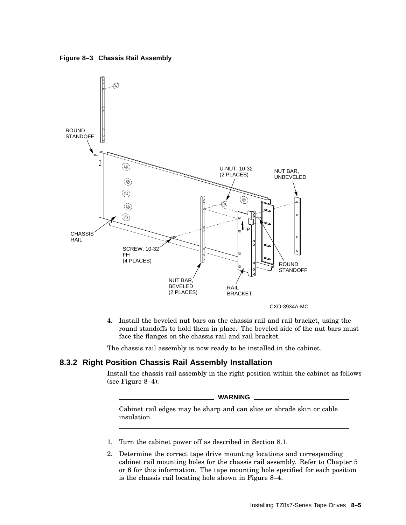



4. Install the beveled nut bars on the chassis rail and rail bracket, using the round standoffs to hold them in place. The beveled side of the nut bars must face the flanges on the chassis rail and rail bracket.

The chassis rail assembly is now ready to be installed in the cabinet.

## **8.3.2 Right Position Chassis Rail Assembly Installation**

Install the chassis rail assembly in the right position within the cabinet as follows (see Figure 8–4):

**WARNING**

Cabinet rail edges may be sharp and can slice or abrade skin or cable insulation.

- 1. Turn the cabinet power off as described in Section 8.1.
- 2. Determine the correct tape drive mounting locations and corresponding cabinet rail mounting holes for the chassis rail assembly. Refer to Chapter 5 or 6 for this information. The tape mounting hole specified for each position is the chassis rail locating hole shown in Figure 8–4.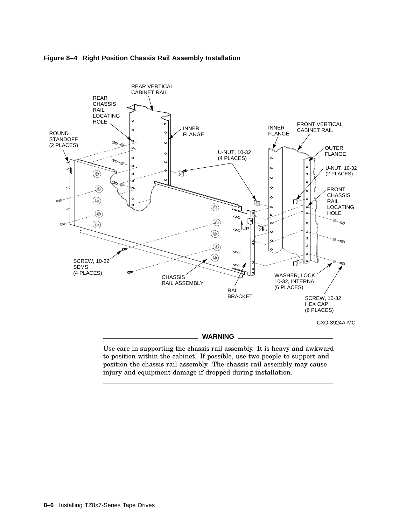



Use care in supporting the chassis rail assembly. It is heavy and awkward to position within the cabinet. If possible, use two people to support and position the chassis rail assembly. The chassis rail assembly may cause injury and equipment damage if dropped during installation.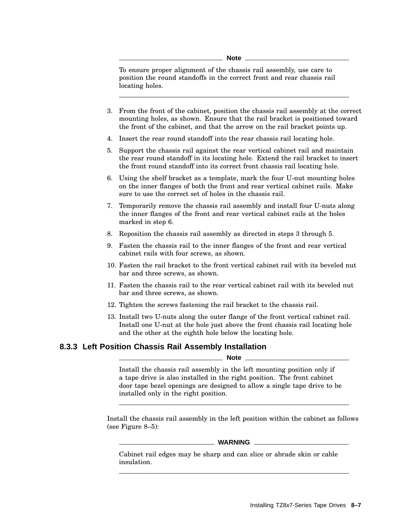**Note**

To ensure proper alignment of the chassis rail assembly, use care to position the round standoffs in the correct front and rear chassis rail locating holes.

- 3. From the front of the cabinet, position the chassis rail assembly at the correct mounting holes, as shown. Ensure that the rail bracket is positioned toward the front of the cabinet, and that the arrow on the rail bracket points up.
- 4. Insert the rear round standoff into the rear chassis rail locating hole.
- 5. Support the chassis rail against the rear vertical cabinet rail and maintain the rear round standoff in its locating hole. Extend the rail bracket to insert the front round standoff into its correct front chassis rail locating hole.
- 6. Using the shelf bracket as a template, mark the four U-nut mounting holes on the inner flanges of both the front and rear vertical cabinet rails. Make sure to use the correct set of holes in the chassis rail.
- 7. Temporarily remove the chassis rail assembly and install four U-nuts along the inner flanges of the front and rear vertical cabinet rails at the holes marked in step 6.
- 8. Reposition the chassis rail assembly as directed in steps 3 through 5.
- 9. Fasten the chassis rail to the inner flanges of the front and rear vertical cabinet rails with four screws, as shown.
- 10. Fasten the rail bracket to the front vertical cabinet rail with its beveled nut bar and three screws, as shown.
- 11. Fasten the chassis rail to the rear vertical cabinet rail with its beveled nut bar and three screws, as shown.
- 12. Tighten the screws fastening the rail bracket to the chassis rail.
- 13. Install two U-nuts along the outer flange of the front vertical cabinet rail. Install one U-nut at the hole just above the front chassis rail locating hole and the other at the eighth hole below the locating hole.

## **8.3.3 Left Position Chassis Rail Assembly Installation**

**Note**

Install the chassis rail assembly in the left mounting position only if a tape drive is also installed in the right position. The front cabinet door tape bezel openings are designed to allow a single tape drive to be installed only in the right position.

Install the chassis rail assembly in the left position within the cabinet as follows (see Figure 8–5):

#### **WARNING**

Cabinet rail edges may be sharp and can slice or abrade skin or cable insulation.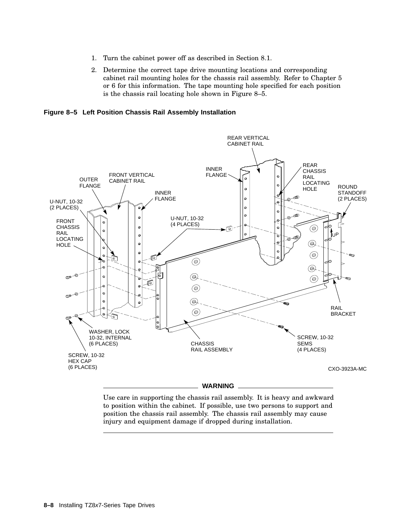- 1. Turn the cabinet power off as described in Section 8.1.
- 2. Determine the correct tape drive mounting locations and corresponding cabinet rail mounting holes for the chassis rail assembly. Refer to Chapter 5 or 6 for this information. The tape mounting hole specified for each position is the chassis rail locating hole shown in Figure 8–5.

**Figure 8–5 Left Position Chassis Rail Assembly Installation**



Use care in supporting the chassis rail assembly. It is heavy and awkward to position within the cabinet. If possible, use two persons to support and position the chassis rail assembly. The chassis rail assembly may cause injury and equipment damage if dropped during installation.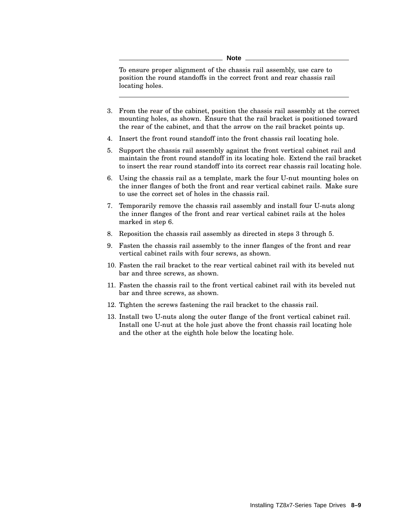**Note**

To ensure proper alignment of the chassis rail assembly, use care to position the round standoffs in the correct front and rear chassis rail locating holes.

- 3. From the rear of the cabinet, position the chassis rail assembly at the correct mounting holes, as shown. Ensure that the rail bracket is positioned toward the rear of the cabinet, and that the arrow on the rail bracket points up.
- 4. Insert the front round standoff into the front chassis rail locating hole.
- 5. Support the chassis rail assembly against the front vertical cabinet rail and maintain the front round standoff in its locating hole. Extend the rail bracket to insert the rear round standoff into its correct rear chassis rail locating hole.
- 6. Using the chassis rail as a template, mark the four U-nut mounting holes on the inner flanges of both the front and rear vertical cabinet rails. Make sure to use the correct set of holes in the chassis rail.
- 7. Temporarily remove the chassis rail assembly and install four U-nuts along the inner flanges of the front and rear vertical cabinet rails at the holes marked in step 6.
- 8. Reposition the chassis rail assembly as directed in steps 3 through 5.
- 9. Fasten the chassis rail assembly to the inner flanges of the front and rear vertical cabinet rails with four screws, as shown.
- 10. Fasten the rail bracket to the rear vertical cabinet rail with its beveled nut bar and three screws, as shown.
- 11. Fasten the chassis rail to the front vertical cabinet rail with its beveled nut bar and three screws, as shown.
- 12. Tighten the screws fastening the rail bracket to the chassis rail.
- 13. Install two U-nuts along the outer flange of the front vertical cabinet rail. Install one U-nut at the hole just above the front chassis rail locating hole and the other at the eighth hole below the locating hole.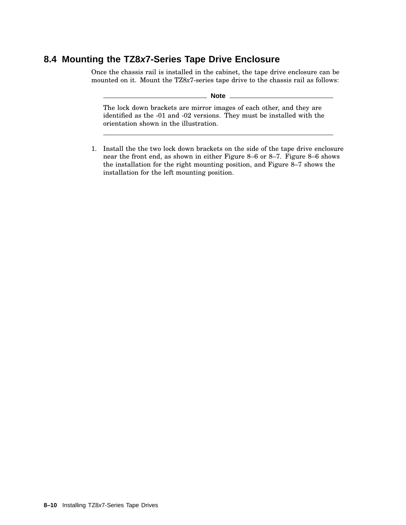## **8.4 Mounting the TZ8x7-Series Tape Drive Enclosure**

Once the chassis rail is installed in the cabinet, the tape drive enclosure can be mounted on it. Mount the TZ8*x*7-series tape drive to the chassis rail as follows:

**Note**

The lock down brackets are mirror images of each other, and they are identified as the -01 and -02 versions. They must be installed with the orientation shown in the illustration.

1. Install the the two lock down brackets on the side of the tape drive enclosure near the front end, as shown in either Figure 8–6 or 8–7. Figure 8–6 shows the installation for the right mounting position, and Figure 8–7 shows the installation for the left mounting position.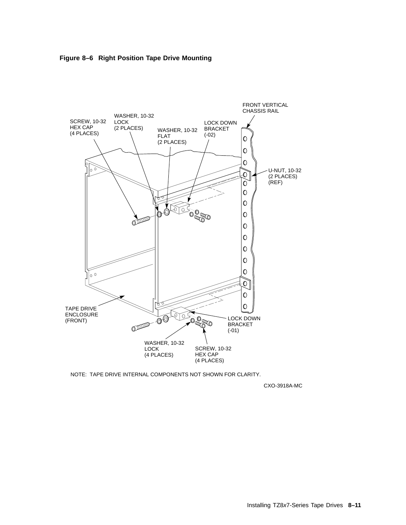



NOTE: TAPE DRIVE INTERNAL COMPONENTS NOT SHOWN FOR CLARITY.

CXO-3918A-MC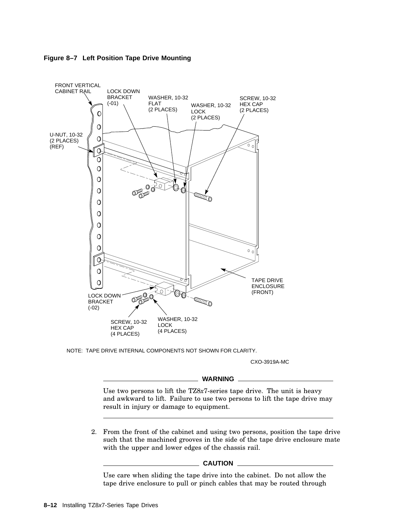

**Figure 8–7 Left Position Tape Drive Mounting**

NOTE: TAPE DRIVE INTERNAL COMPONENTS NOT SHOWN FOR CLARITY.

CXO-3919A-MC

#### **WARNING**

Use two persons to lift the TZ8*x*7-series tape drive. The unit is heavy and awkward to lift. Failure to use two persons to lift the tape drive may result in injury or damage to equipment.

2. From the front of the cabinet and using two persons, position the tape drive such that the machined grooves in the side of the tape drive enclosure mate with the upper and lower edges of the chassis rail.

#### **CAUTION**

Use care when sliding the tape drive into the cabinet. Do not allow the tape drive enclosure to pull or pinch cables that may be routed through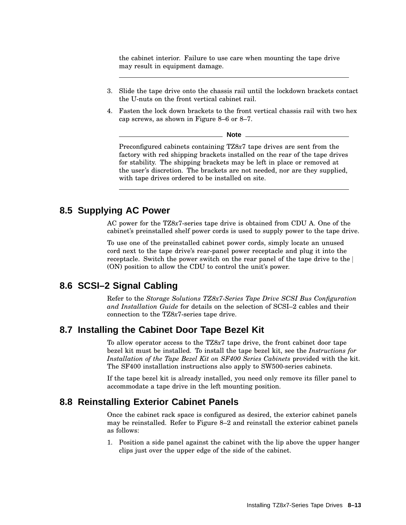the cabinet interior. Failure to use care when mounting the tape drive may result in equipment damage.

- 3. Slide the tape drive onto the chassis rail until the lockdown brackets contact the U-nuts on the front vertical cabinet rail.
- 4. Fasten the lock down brackets to the front vertical chassis rail with two hex cap screws, as shown in Figure 8–6 or 8–7.

**Note**

Preconfigured cabinets containing TZ8*x*7 tape drives are sent from the factory with red shipping brackets installed on the rear of the tape drives for stability. The shipping brackets may be left in place or removed at the user's discretion. The brackets are not needed, nor are they supplied, with tape drives ordered to be installed on site.

## **8.5 Supplying AC Power**

AC power for the TZ8*x*7-series tape drive is obtained from CDU A. One of the cabinet's preinstalled shelf power cords is used to supply power to the tape drive.

To use one of the preinstalled cabinet power cords, simply locate an unused cord next to the tape drive's rear-panel power receptacle and plug it into the receptacle. Switch the power switch on the rear panel of the tape drive to the (ON) position to allow the CDU to control the unit's power.

## **8.6 SCSI–2 Signal Cabling**

Refer to the *Storage Solutions TZ8x7-Series Tape Drive SCSI Bus Configuration and Installation Guide* for details on the selection of SCSI–2 cables and their connection to the TZ8*x*7-series tape drive.

## **8.7 Installing the Cabinet Door Tape Bezel Kit**

To allow operator access to the TZ8*x*7 tape drive, the front cabinet door tape bezel kit must be installed. To install the tape bezel kit, see the *Instructions for Installation of the Tape Bezel Kit on SF400 Series Cabinets* provided with the kit. The SF400 installation instructions also apply to SW500-series cabinets.

If the tape bezel kit is already installed, you need only remove its filler panel to accommodate a tape drive in the left mounting position.

## **8.8 Reinstalling Exterior Cabinet Panels**

Once the cabinet rack space is configured as desired, the exterior cabinet panels may be reinstalled. Refer to Figure 8–2 and reinstall the exterior cabinet panels as follows:

1. Position a side panel against the cabinet with the lip above the upper hanger clips just over the upper edge of the side of the cabinet.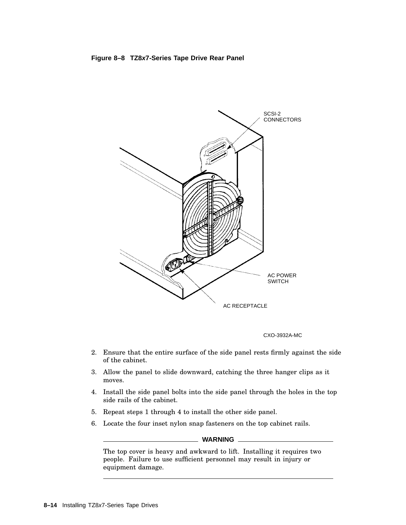

CXO-3932A-MC

- 2. Ensure that the entire surface of the side panel rests firmly against the side of the cabinet.
- 3. Allow the panel to slide downward, catching the three hanger clips as it moves.
- 4. Install the side panel bolts into the side panel through the holes in the top side rails of the cabinet.
- 5. Repeat steps 1 through 4 to install the other side panel.
- 6. Locate the four inset nylon snap fasteners on the top cabinet rails.

**WARNING**

The top cover is heavy and awkward to lift. Installing it requires two people. Failure to use sufficient personnel may result in injury or equipment damage.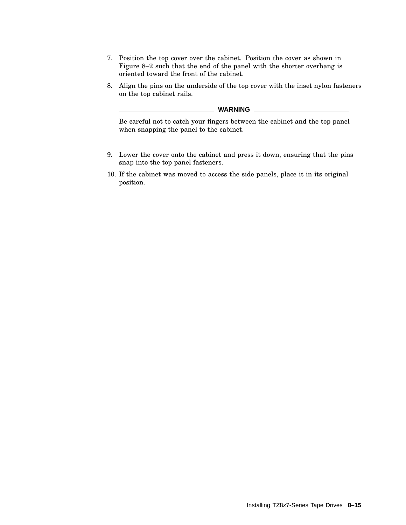- 7. Position the top cover over the cabinet. Position the cover as shown in Figure 8–2 such that the end of the panel with the shorter overhang is oriented toward the front of the cabinet.
- 8. Align the pins on the underside of the top cover with the inset nylon fasteners on the top cabinet rails.

**WARNING**

Be careful not to catch your fingers between the cabinet and the top panel when snapping the panel to the cabinet.

- 9. Lower the cover onto the cabinet and press it down, ensuring that the pins snap into the top panel fasteners.
- 10. If the cabinet was moved to access the side panels, place it in its original position.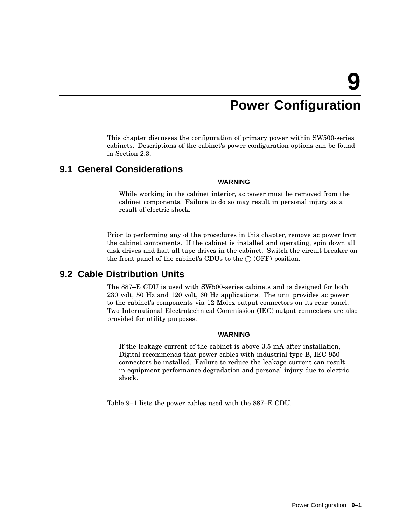# **Power Configuration**

This chapter discusses the configuration of primary power within SW500-series cabinets. Descriptions of the cabinet's power configuration options can be found in Section 2.3.

## **9.1 General Considerations**

**WARNING**

While working in the cabinet interior, ac power must be removed from the cabinet components. Failure to do so may result in personal injury as a result of electric shock.

Prior to performing any of the procedures in this chapter, remove ac power from the cabinet components. If the cabinet is installed and operating, spin down all disk drives and halt all tape drives in the cabinet. Switch the circuit breaker on the front panel of the cabinet's CDUs to the  $\bigcirc$  (OFF) position.

## **9.2 Cable Distribution Units**

The 887–E CDU is used with SW500-series cabinets and is designed for both 230 volt, 50 Hz and 120 volt, 60 Hz applications. The unit provides ac power to the cabinet's components via 12 Molex output connectors on its rear panel. Two International Electrotechnical Commission (IEC) output connectors are also provided for utility purposes.

**WARNING**

If the leakage current of the cabinet is above 3.5 mA after installation, Digital recommends that power cables with industrial type B, IEC 950 connectors be installed. Failure to reduce the leakage current can result in equipment performance degradation and personal injury due to electric shock.

Table 9–1 lists the power cables used with the 887–E CDU.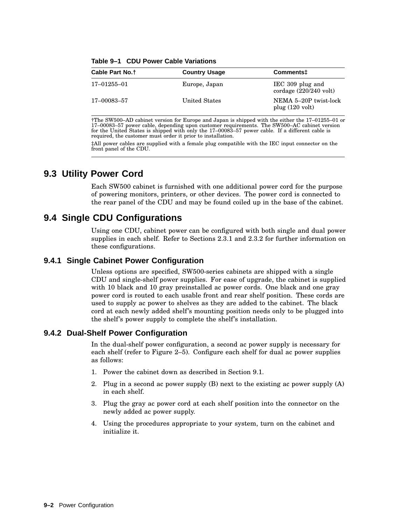| Cable Part No. <sup>†</sup> | <b>Country Usage</b> | Comments <sup>+</sup>                                |
|-----------------------------|----------------------|------------------------------------------------------|
| 17–01255–01                 | Europe, Japan        | IEC 309 plug and<br>cordage $(220/240 \text{ volt})$ |
| 17–00083–57                 | United States        | NEMA 5-20P twist-lock<br>plug $(120 \text{ volt})$   |

**Table 9–1 CDU Power Cable Variations**

†The SW500–AD cabinet version for Europe and Japan is shipped with the either the 17–01255–01 or 17–00083–57 power cable, depending upon customer requirements. The SW500–AC cabinet version for the United States is shipped with only the 17–00083–57 power cable. If a different cable is required, the customer must order it prior to installation.

‡All power cables are supplied with a female plug compatible with the IEC input connector on the front panel of the CDU.

## **9.3 Utility Power Cord**

Each SW500 cabinet is furnished with one additional power cord for the purpose of powering monitors, printers, or other devices. The power cord is connected to the rear panel of the CDU and may be found coiled up in the base of the cabinet.

## **9.4 Single CDU Configurations**

Using one CDU, cabinet power can be configured with both single and dual power supplies in each shelf. Refer to Sections 2.3.1 and 2.3.2 for further information on these configurations.

## **9.4.1 Single Cabinet Power Configuration**

Unless options are specified, SW500-series cabinets are shipped with a single CDU and single-shelf power supplies. For ease of upgrade, the cabinet is supplied with 10 black and 10 gray preinstalled ac power cords. One black and one gray power cord is routed to each usable front and rear shelf position. These cords are used to supply ac power to shelves as they are added to the cabinet. The black cord at each newly added shelf's mounting position needs only to be plugged into the shelf's power supply to complete the shelf's installation.

## **9.4.2 Dual-Shelf Power Configuration**

In the dual-shelf power configuration, a second ac power supply is necessary for each shelf (refer to Figure 2–5). Configure each shelf for dual ac power supplies as follows:

- 1. Power the cabinet down as described in Section 9.1.
- 2. Plug in a second ac power supply (B) next to the existing ac power supply (A) in each shelf.
- 3. Plug the gray ac power cord at each shelf position into the connector on the newly added ac power supply.
- 4. Using the procedures appropriate to your system, turn on the cabinet and initialize it.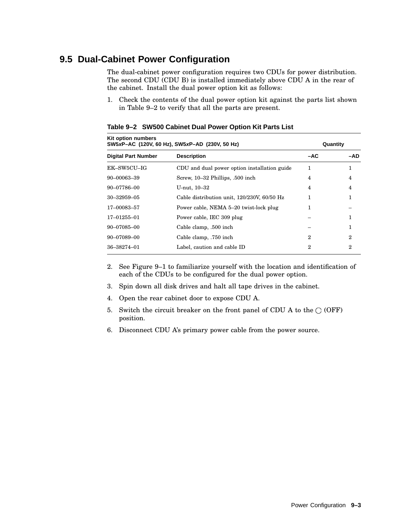## **9.5 Dual-Cabinet Power Configuration**

The dual-cabinet power configuration requires two CDUs for power distribution. The second CDU (CDU B) is installed immediately above CDU A in the rear of the cabinet. Install the dual power option kit as follows:

1. Check the contents of the dual power option kit against the parts list shown in Table 9–2 to verify that all the parts are present.

| Kit option numbers<br>SW5xP-AC (120V, 60 Hz), SW5xP-AD (230V, 50 Hz) |                                              | Quantity |     |
|----------------------------------------------------------------------|----------------------------------------------|----------|-----|
| <b>Digital Part Number</b>                                           | <b>Description</b>                           | -AC      | -AD |
| EK-SW5CU-IG                                                          | CDU and dual power option installation guide | 1        | 1   |
| 90-00063-39                                                          | Screw, 10–32 Phillips, .500 inch             | 4        | 4   |
| 90-07786-00                                                          | U-nut, 10–32                                 | 4        | 4   |
| $30 - 32959 - 05$                                                    | Cable distribution unit, 120/230V, 60/50 Hz  | 1        | 1   |
| 17-00083-57                                                          | Power cable, NEMA 5-20 twist-lock plug       | 1        |     |
| $17 - 01255 - 01$                                                    | Power cable, IEC 309 plug                    |          | 1   |
| $90 - 07085 - 00$                                                    | Cable clamp, .500 inch                       |          |     |
| 90-07089-00                                                          | Cable clamp, .750 inch                       | 2        | 2   |
| 36-38274-01                                                          | Label, caution and cable ID                  | 2        | 2   |

**Table 9–2 SW500 Cabinet Dual Power Option Kit Parts List**

- 2. See Figure 9–1 to familiarize yourself with the location and identification of each of the CDUs to be configured for the dual power option.
- 3. Spin down all disk drives and halt all tape drives in the cabinet.
- 4. Open the rear cabinet door to expose CDU A.
- 5. Switch the circuit breaker on the front panel of CDU A to the  $\bigcirc$  (OFF) position.
- 6. Disconnect CDU A's primary power cable from the power source.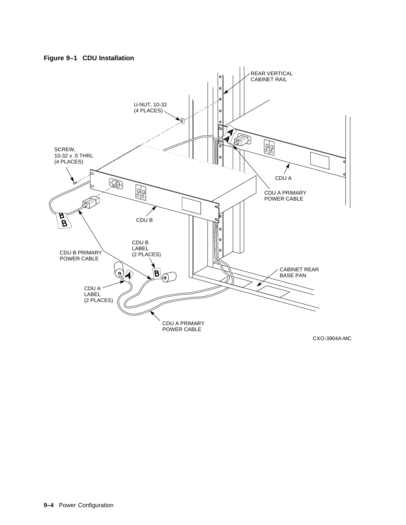



CXO-3904A-MC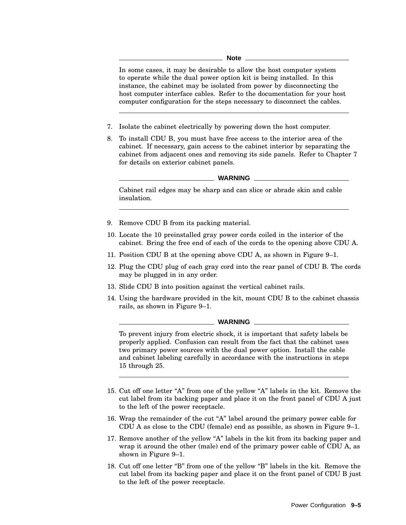In some cases, it may be desirable to allow the host computer system to operate while the dual power option kit is being installed. In this instance, the cabinet may be isolated from power by disconnecting the host computer interface cables. Refer to the documentation for your host computer configuration for the steps necessary to disconnect the cables.

- 7. Isolate the cabinet electrically by powering down the host computer.
- 8. To install CDU B, you must have free access to the interior area of the cabinet. If necessary, gain access to the cabinet interior by separating the cabinet from adjacent ones and removing its side panels. Refer to Chapter 7 for details on exterior cabinet panels.

#### **WARNING**

Cabinet rail edges may be sharp and can slice or abrade skin and cable insulation.

- 9. Remove CDU B from its packing material.
- 10. Locate the 10 preinstalled gray power cords coiled in the interior of the cabinet. Bring the free end of each of the cords to the opening above CDU A.
- 11. Position CDU B at the opening above CDU A, as shown in Figure 9–1.
- 12. Plug the CDU plug of each gray cord into the rear panel of CDU B. The cords may be plugged in in any order.
- 13. Slide CDU B into position against the vertical cabinet rails.
- 14. Using the hardware provided in the kit, mount CDU B to the cabinet chassis rails, as shown in Figure 9–1.

#### **WARNING**

To prevent injury from electric shock, it is important that safety labels be properly applied. Confusion can result from the fact that the cabinet uses two primary power sources with the dual power option. Install the cable and cabinet labeling carefully in accordance with the instructions in steps 15 through 25.

- 15. Cut off one letter "A" from one of the yellow "A" labels in the kit. Remove the cut label from its backing paper and place it on the front panel of CDU A just to the left of the power receptacle.
- 16. Wrap the remainder of the cut "A" label around the primary power cable for CDU A as close to the CDU (female) end as possible, as shown in Figure 9–1.
- 17. Remove another of the yellow "A" labels in the kit from its backing paper and wrap it around the other (male) end of the primary power cable of CDU A, as shown in Figure 9–1.
- 18. Cut off one letter "B" from one of the yellow "B" labels in the kit. Remove the cut label from its backing paper and place it on the front panel of CDU B just to the left of the power receptacle.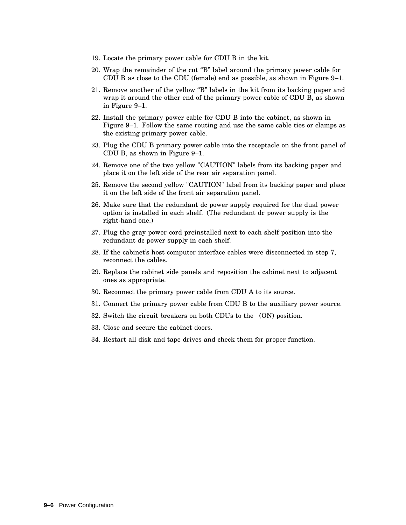- 19. Locate the primary power cable for CDU B in the kit.
- 20. Wrap the remainder of the cut ''B'' label around the primary power cable for CDU B as close to the CDU (female) end as possible, as shown in Figure 9–1.
- 21. Remove another of the yellow ''B'' labels in the kit from its backing paper and wrap it around the other end of the primary power cable of CDU B, as shown in Figure 9–1.
- 22. Install the primary power cable for CDU B into the cabinet, as shown in Figure 9–1. Follow the same routing and use the same cable ties or clamps as the existing primary power cable.
- 23. Plug the CDU B primary power cable into the receptacle on the front panel of CDU B, as shown in Figure 9–1.
- 24. Remove one of the two yellow "CAUTION" labels from its backing paper and place it on the left side of the rear air separation panel.
- 25. Remove the second yellow "CAUTION" label from its backing paper and place it on the left side of the front air separation panel.
- 26. Make sure that the redundant dc power supply required for the dual power option is installed in each shelf. (The redundant dc power supply is the right-hand one.)
- 27. Plug the gray power cord preinstalled next to each shelf position into the redundant dc power supply in each shelf.
- 28. If the cabinet's host computer interface cables were disconnected in step 7, reconnect the cables.
- 29. Replace the cabinet side panels and reposition the cabinet next to adjacent ones as appropriate.
- 30. Reconnect the primary power cable from CDU A to its source.
- 31. Connect the primary power cable from CDU B to the auxiliary power source.
- 32. Switch the circuit breakers on both CDUs to the  $(ON)$  position.
- 33. Close and secure the cabinet doors.
- 34. Restart all disk and tape drives and check them for proper function.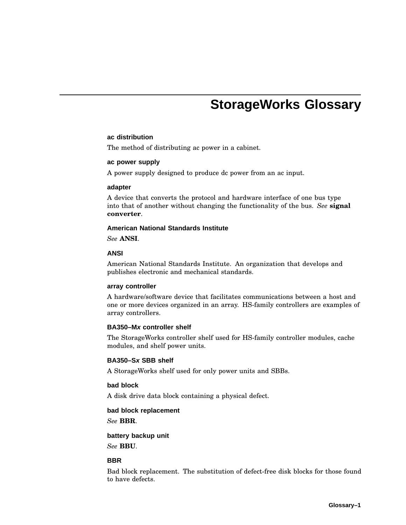# **StorageWorks Glossary**

#### **ac distribution**

The method of distributing ac power in a cabinet.

#### **ac power supply**

A power supply designed to produce dc power from an ac input.

#### **adapter**

A device that converts the protocol and hardware interface of one bus type into that of another without changing the functionality of the bus. *See* **signal converter**.

#### **American National Standards Institute**

*See* **ANSI**.

## **ANSI**

American National Standards Institute. An organization that develops and publishes electronic and mechanical standards.

#### **array controller**

A hardware/software device that facilitates communications between a host and one or more devices organized in an array. HS-family controllers are examples of array controllers.

#### **BA350–Mx controller shelf**

The StorageWorks controller shelf used for HS-family controller modules, cache modules, and shelf power units.

## **BA350–Sx SBB shelf**

A StorageWorks shelf used for only power units and SBBs.

## **bad block**

A disk drive data block containing a physical defect.

## **bad block replacement**

*See* **BBR**.

#### **battery backup unit**

*See* **BBU**.

#### **BBR**

Bad block replacement. The substitution of defect-free disk blocks for those found to have defects.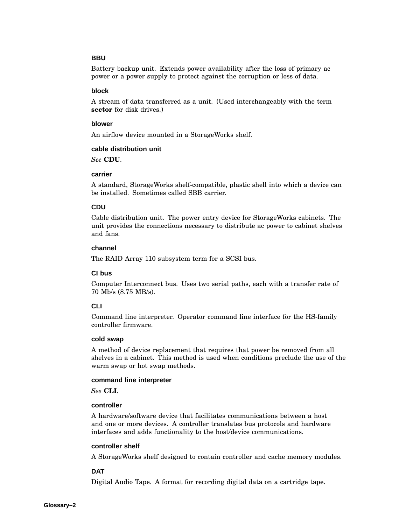## **BBU**

Battery backup unit. Extends power availability after the loss of primary ac power or a power supply to protect against the corruption or loss of data.

### **block**

A stream of data transferred as a unit. (Used interchangeably with the term **sector** for disk drives.)

#### **blower**

An airflow device mounted in a StorageWorks shelf.

### **cable distribution unit**

*See* **CDU**.

### **carrier**

A standard, StorageWorks shelf-compatible, plastic shell into which a device can be installed. Sometimes called SBB carrier.

## **CDU**

Cable distribution unit. The power entry device for StorageWorks cabinets. The unit provides the connections necessary to distribute ac power to cabinet shelves and fans.

### **channel**

The RAID Array 110 subsystem term for a SCSI bus.

## **CI bus**

Computer Interconnect bus. Uses two serial paths, each with a transfer rate of 70 Mb/s (8.75 MB/s).

## **CLI**

Command line interpreter. Operator command line interface for the HS-family controller firmware.

#### **cold swap**

A method of device replacement that requires that power be removed from all shelves in a cabinet. This method is used when conditions preclude the use of the warm swap or hot swap methods.

#### **command line interpreter**

*See* **CLI**.

## **controller**

A hardware/software device that facilitates communications between a host and one or more devices. A controller translates bus protocols and hardware interfaces and adds functionality to the host/device communications.

#### **controller shelf**

A StorageWorks shelf designed to contain controller and cache memory modules.

## **DAT**

Digital Audio Tape. A format for recording digital data on a cartridge tape.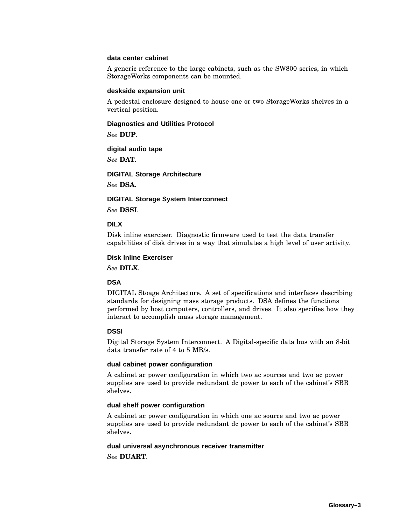#### **data center cabinet**

A generic reference to the large cabinets, such as the SW800 series, in which StorageWorks components can be mounted.

#### **deskside expansion unit**

A pedestal enclosure designed to house one or two StorageWorks shelves in a vertical position.

### **Diagnostics and Utilities Protocol**

*See* **DUP**.

### **digital audio tape**

*See* **DAT**.

**DIGITAL Storage Architecture**

*See* **DSA**.

#### **DIGITAL Storage System Interconnect**

*See* **DSSI**.

### **DILX**

Disk inline exerciser. Diagnostic firmware used to test the data transfer capabilities of disk drives in a way that simulates a high level of user activity.

#### **Disk Inline Exerciser**

*See* **DILX**.

## **DSA**

DIGITAL Stoage Architecture. A set of specifications and interfaces describing standards for designing mass storage products. DSA defines the functions performed by host computers, controllers, and drives. It also specifies how they interact to accomplish mass storage management.

### **DSSI**

Digital Storage System Interconnect. A Digital-specific data bus with an 8-bit data transfer rate of 4 to 5 MB/s.

### **dual cabinet power configuration**

A cabinet ac power configuration in which two ac sources and two ac power supplies are used to provide redundant dc power to each of the cabinet's SBB shelves.

## **dual shelf power configuration**

A cabinet ac power configuration in which one ac source and two ac power supplies are used to provide redundant dc power to each of the cabinet's SBB shelves.

#### **dual universal asynchronous receiver transmitter**

*See* **DUART**.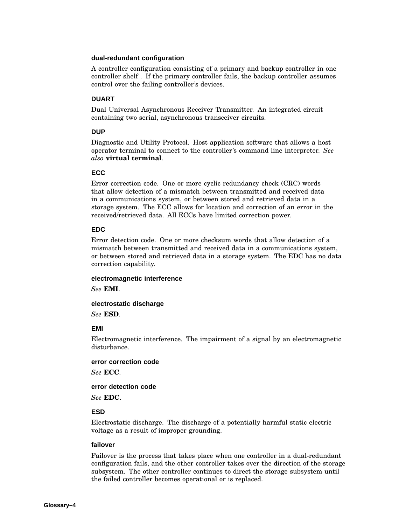### **dual-redundant configuration**

A controller configuration consisting of a primary and backup controller in one controller shelf . If the primary controller fails, the backup controller assumes control over the failing controller's devices.

## **DUART**

Dual Universal Asynchronous Receiver Transmitter. An integrated circuit containing two serial, asynchronous transceiver circuits.

## **DUP**

Diagnostic and Utility Protocol. Host application software that allows a host operator terminal to connect to the controller's command line interpreter. *See also* **virtual terminal**.

#### **ECC**

Error correction code. One or more cyclic redundancy check (CRC) words that allow detection of a mismatch between transmitted and received data in a communications system, or between stored and retrieved data in a storage system. The ECC allows for location and correction of an error in the received/retrieved data. All ECCs have limited correction power.

## **EDC**

Error detection code. One or more checksum words that allow detection of a mismatch between transmitted and received data in a communications system, or between stored and retrieved data in a storage system. The EDC has no data correction capability.

#### **electromagnetic interference**

*See* **EMI**.

### **electrostatic discharge**

*See* **ESD**.

#### **EMI**

Electromagnetic interference. The impairment of a signal by an electromagnetic disturbance.

#### **error correction code**

*See* **ECC**.

#### **error detection code**

*See* **EDC**.

#### **ESD**

Electrostatic discharge. The discharge of a potentially harmful static electric voltage as a result of improper grounding.

### **failover**

Failover is the process that takes place when one controller in a dual-redundant configuration fails, and the other controller takes over the direction of the storage subsystem. The other controller continues to direct the storage subsystem until the failed controller becomes operational or is replaced.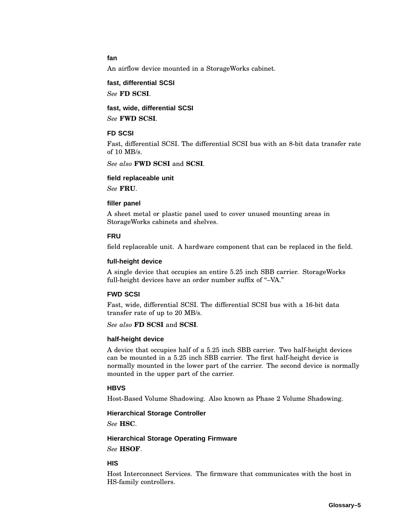## **fan**

An airflow device mounted in a StorageWorks cabinet.

## **fast, differential SCSI**

*See* **FD SCSI**.

## **fast, wide, differential SCSI**

*See* **FWD SCSI**.

### **FD SCSI**

Fast, differential SCSI. The differential SCSI bus with an 8-bit data transfer rate of 10 MB/s.

*See also* **FWD SCSI** and **SCSI**.

### **field replaceable unit**

*See* **FRU**.

#### **filler panel**

A sheet metal or plastic panel used to cover unused mounting areas in StorageWorks cabinets and shelves.

#### **FRU**

field replaceable unit. A hardware component that can be replaced in the field.

#### **full-height device**

A single device that occupies an entire 5.25 inch SBB carrier. StorageWorks full-height devices have an order number suffix of "-VA."

#### **FWD SCSI**

Fast, wide, differential SCSI. The differential SCSI bus with a 16-bit data transfer rate of up to 20 MB/s.

*See also* **FD SCSI** and **SCSI**.

### **half-height device**

A device that occupies half of a 5.25 inch SBB carrier. Two half-height devices can be mounted in a 5.25 inch SBB carrier. The first half-height device is normally mounted in the lower part of the carrier. The second device is normally mounted in the upper part of the carrier.

#### **HBVS**

Host-Based Volume Shadowing. Also known as Phase 2 Volume Shadowing.

### **Hierarchical Storage Controller**

*See* **HSC**.

## **Hierarchical Storage Operating Firmware**

*See* **HSOF**.

### **HIS**

Host Interconnect Services. The firmware that communicates with the host in HS-family controllers.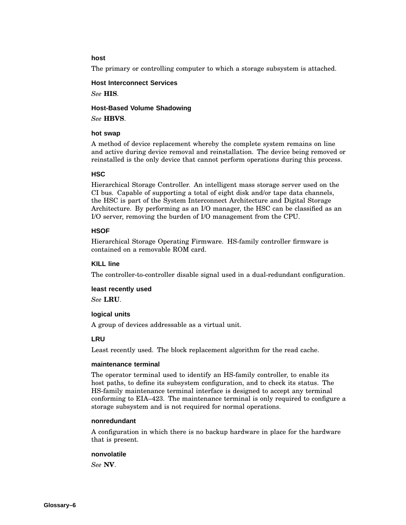## **host**

The primary or controlling computer to which a storage subsystem is attached.

## **Host Interconnect Services**

*See* **HIS**.

## **Host-Based Volume Shadowing**

*See* **HBVS**.

### **hot swap**

A method of device replacement whereby the complete system remains on line and active during device removal and reinstallation. The device being removed or reinstalled is the only device that cannot perform operations during this process.

## **HSC**

Hierarchical Storage Controller. An intelligent mass storage server used on the CI bus. Capable of supporting a total of eight disk and/or tape data channels, the HSC is part of the System Interconnect Architecture and Digital Storage Architecture. By performing as an I/O manager, the HSC can be classified as an I/O server, removing the burden of I/O management from the CPU.

## **HSOF**

Hierarchical Storage Operating Firmware. HS-family controller firmware is contained on a removable ROM card.

## **KILL line**

The controller-to-controller disable signal used in a dual-redundant configuration.

#### **least recently used**

*See* **LRU**.

## **logical units**

A group of devices addressable as a virtual unit.

## **LRU**

Least recently used. The block replacement algorithm for the read cache.

## **maintenance terminal**

The operator terminal used to identify an HS-family controller, to enable its host paths, to define its subsystem configuration, and to check its status. The HS-family maintenance terminal interface is designed to accept any terminal conforming to EIA–423. The maintenance terminal is only required to configure a storage subsystem and is not required for normal operations.

#### **nonredundant**

A configuration in which there is no backup hardware in place for the hardware that is present.

#### **nonvolatile**

*See* **NV**.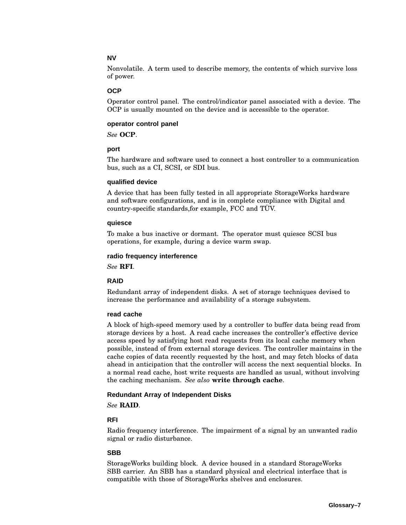## **NV**

Nonvolatile. A term used to describe memory, the contents of which survive loss of power.

## **OCP**

Operator control panel. The control/indicator panel associated with a device. The OCP is usually mounted on the device and is accessible to the operator.

#### **operator control panel**

*See* **OCP**.

### **port**

The hardware and software used to connect a host controller to a communication bus, such as a CI, SCSI, or SDI bus.

### **qualified device**

A device that has been fully tested in all appropriate StorageWorks hardware and software configurations, and is in complete compliance with Digital and country-specific standards,for example, FCC and TÜV.

### **quiesce**

To make a bus inactive or dormant. The operator must quiesce SCSI bus operations, for example, during a device warm swap.

## **radio frequency interference**

*See* **RFI**.

## **RAID**

Redundant array of independent disks. A set of storage techniques devised to increase the performance and availability of a storage subsystem.

## **read cache**

A block of high-speed memory used by a controller to buffer data being read from storage devices by a host. A read cache increases the controller's effective device access speed by satisfying host read requests from its local cache memory when possible, instead of from external storage devices. The controller maintains in the cache copies of data recently requested by the host, and may fetch blocks of data ahead in anticipation that the controller will access the next sequential blocks. In a normal read cache, host write requests are handled as usual, without involving the caching mechanism. *See also* **write through cache**.

#### **Redundant Array of Independent Disks**

*See* **RAID**.

## **RFI**

Radio frequency interference. The impairment of a signal by an unwanted radio signal or radio disturbance.

## **SBB**

StorageWorks building block. A device housed in a standard StorageWorks SBB carrier. An SBB has a standard physical and electrical interface that is compatible with those of StorageWorks shelves and enclosures.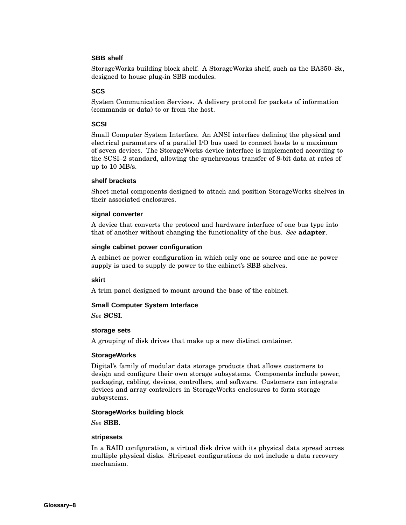## **SBB shelf**

StorageWorks building block shelf. A StorageWorks shelf, such as the BA350–S*x*, designed to house plug-in SBB modules.

## **SCS**

System Communication Services. A delivery protocol for packets of information (commands or data) to or from the host.

## **SCSI**

Small Computer System Interface. An ANSI interface defining the physical and electrical parameters of a parallel I/O bus used to connect hosts to a maximum of seven devices. The StorageWorks device interface is implemented according to the SCSI–2 standard, allowing the synchronous transfer of 8-bit data at rates of up to 10 MB/s.

### **shelf brackets**

Sheet metal components designed to attach and position StorageWorks shelves in their associated enclosures.

### **signal converter**

A device that converts the protocol and hardware interface of one bus type into that of another without changing the functionality of the bus. *See* **adapter**.

### **single cabinet power configuration**

A cabinet ac power configuration in which only one ac source and one ac power supply is used to supply dc power to the cabinet's SBB shelves.

## **skirt**

A trim panel designed to mount around the base of the cabinet.

## **Small Computer System Interface**

*See* **SCSI**.

## **storage sets**

A grouping of disk drives that make up a new distinct container.

## **StorageWorks**

Digital's family of modular data storage products that allows customers to design and configure their own storage subsystems. Components include power, packaging, cabling, devices, controllers, and software. Customers can integrate devices and array controllers in StorageWorks enclosures to form storage subsystems.

## **StorageWorks building block**

*See* **SBB**.

#### **stripesets**

In a RAID configuration, a virtual disk drive with its physical data spread across multiple physical disks. Stripeset configurations do not include a data recovery mechanism.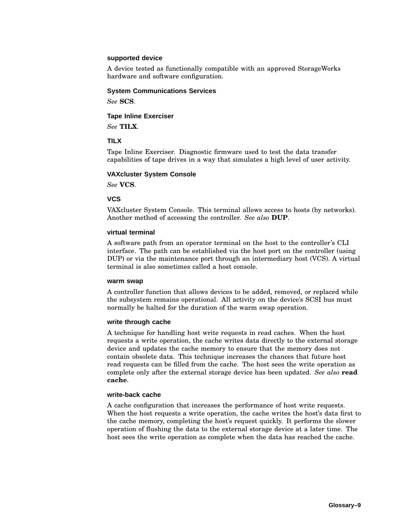### **supported device**

A device tested as functionally compatible with an approved StorageWorks hardware and software configuration.

#### **System Communications Services**

*See* **SCS**.

### **Tape Inline Exerciser**

*See* **TILX**.

#### **TILX**

Tape Inline Exerciser. Diagnostic firmware used to test the data transfer capabilities of tape drives in a way that simulates a high level of user activity.

#### **VAXcluster System Console**

*See* **VCS**.

#### **VCS**

VAXcluster System Console. This terminal allows access to hosts (by networks). Another method of accessing the controller. *See also* **DUP**.

#### **virtual terminal**

A software path from an operator terminal on the host to the controller's CLI interface. The path can be established via the host port on the controller (using DUP) or via the maintenance port through an intermediary host (VCS). A virtual terminal is also sometimes called a host console.

#### **warm swap**

A controller function that allows devices to be added, removed, or replaced while the subsystem remains operational. All activity on the device's SCSI bus must normally be halted for the duration of the warm swap operation.

#### **write through cache**

A technique for handling host write requests in read caches. When the host requests a write operation, the cache writes data directly to the external storage device and updates the cache memory to ensure that the memory does not contain obsolete data. This technique increases the chances that future host read requests can be filled from the cache. The host sees the write operation as complete only after the external storage device has been updated. *See also* **read cache**.

#### **write-back cache**

A cache configuration that increases the performance of host write requests. When the host requests a write operation, the cache writes the host's data first to the cache memory, completing the host's request quickly. It performs the slower operation of flushing the data to the external storage device at a later time. The host sees the write operation as complete when the data has reached the cache.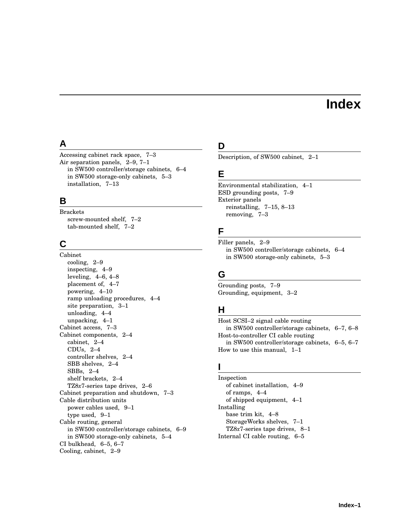# **Index**

## **A**

Accessing cabinet rack space, 7–3 Air separation panels, 2–9, 7–1 in SW500 controller/storage cabinets, 6–4 in SW500 storage-only cabinets, 5–3 installation, 7–13

## **B**

Brackets screw-mounted shelf, 7–2 tab-mounted shelf, 7–2

## **C**

Cabinet cooling, 2–9 inspecting, 4–9 leveling, 4–6, 4–8 placement of, 4–7 powering, 4–10 ramp unloading procedures, 4–4 site preparation, 3–1 unloading, 4–4 unpacking, 4–1 Cabinet access, 7–3 Cabinet components, 2–4 cabinet, 2–4 CDUs, 2–4 controller shelves, 2–4 SBB shelves, 2–4 SBBs, 2–4 shelf brackets, 2–4 TZ8*x*7-series tape drives, 2–6 Cabinet preparation and shutdown, 7–3 Cable distribution units power cables used, 9–1 type used, 9–1 Cable routing, general in SW500 controller/storage cabinets, 6–9 in SW500 storage-only cabinets, 5–4 CI bulkhead, 6–5, 6–7 Cooling, cabinet, 2–9

## **D**

Description, of SW500 cabinet, 2–1

## **E**

Environmental stabilization, 4–1 ESD grounding posts, 7–9 Exterior panels reinstalling, 7–15, 8–13 removing, 7–3

## **F**

Filler panels, 2–9 in SW500 controller/storage cabinets, 6–4 in SW500 storage-only cabinets, 5–3

## **G**

Grounding posts, 7–9 Grounding, equipment, 3–2

## **H**

Host SCSI–2 signal cable routing in SW500 controller/storage cabinets, 6–7, 6–8 Host-to-controller CI cable routing in SW500 controller/storage cabinets, 6–5, 6–7 How to use this manual, 1–1

## **I**

Inspection of cabinet installation, 4–9 of ramps, 4–4 of shipped equipment, 4–1 Installing base trim kit, 4–8 StorageWorks shelves, 7–1 TZ8*x*7-series tape drives, 8–1 Internal CI cable routing, 6–5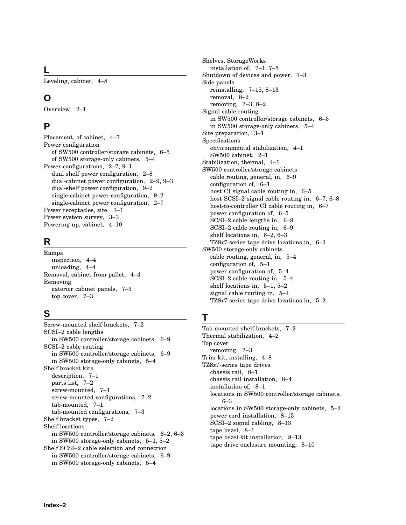## **L**

Leveling, cabinet, 4–8

## **O**

Overview, 2–1

## **P**

Placement, of cabinet, 4–7 Power configuration of SW500 controller/storage cabinets, 6–5 of SW500 storage-only cabinets, 5–4 Power configurations, 2–7, 9–1 dual shelf power configuration, 2–8 dual-cabinet power configuration, 2–9, 9–3 dual-shelf power configuration, 9–2 single cabinet power configuration, 9–2 single-cabinet power configuration, 2–7 Power receptacles, site, 3–1 Power system survey, 3–3 Powering up, cabinet, 4–10

## **R**

Ramps inspection, 4–4 unloading, 4–4 Removal, cabinet from pallet, 4–4 Removing exterior cabinet panels, 7–3 top cover, 7–3

## **S**

Screw-mounted shelf brackets, 7–2 SCSI–2 cable lengths in SW500 controller/storage cabinets, 6–9 SCSI–2 cable routing in SW500 controller/storage cabinets, 6–9 in SW500 storage-only cabinets, 5–4 Shelf bracket kits description, 7–1 parts list, 7–2 screw-mounted, 7–1 screw-mounted configurations, 7–2 tab-mounted, 7–1 tab-mounted configurations, 7–3 Shelf bracket types, 7–2 Shelf locations in SW500 controller/storage cabinets, 6–2, 6–3 in SW500 storage-only cabinets, 5–1, 5–2 Shelf SCSI–2 cable selection and connection in SW500 controller/storage cabinets, 6–9 in SW500 storage-only cabinets, 5–4

Shelves, StorageWorks installation of, 7–1, 7–5 Shutdown of devices and power, 7–3 Side panels reinstalling, 7–15, 8–13 removal, 8–2 removing, 7–3, 8–2 Signal cable routing in SW500 controller/storage cabinets, 6–5 in SW500 storage-only cabinets, 5–4 Site preparation, 3–1 Specifications environmental stabilization, 4–1 SW500 cabinet, 2–1 Stabilization, thermal, 4–1 SW500 controller/storage cabinets cable routing, general, in, 6–9 configuration of, 6–1 host CI signal cable routing in, 6–5 host SCSI–2 signal cable routing in, 6–7, 6–8 host-to-controller CI cable routing in, 6–7 power configuration of, 6–5 SCSI–2 cable lengths in, 6–9 SCSI–2 cable routing in, 6–9 shelf locations in, 6–2, 6–3 TZ8*x*7-series tape drive locations in, 6–3 SW500 storage-only cabinets cable routing, general, in, 5–4 configuration of, 5–1 power configuration of, 5–4 SCSI–2 cable routing in, 5–4 shelf locations in, 5–1, 5–2 signal cable routing in, 5–4 TZ8*x*7-series tape drive locations in, 5–2

## **T**

Tab-mounted shelf brackets, 7–2 Thermal stabilization, 4–2 Top cover removing, 7–3 Trim kit, installing, 4–8 TZ8*x*7-series tape drives chassis rail, 8–1 chassis rail installation, 8–4 installation of, 8–1 locations in SW500 controller/storage cabinets, 6–3 locations in SW500 storage-only cabinets, 5–2 power cord installation, 8–13 SCSI–2 signal cabling, 8–13 tape bezel, 8–1 tape bezel kit installation, 8–13 tape drive enclosure mounting, 8–10